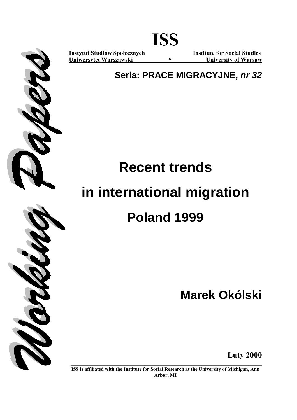

**Instytut Studiów Społecznych Institute for Social Studies Uniwersytet Warszawski \* University of Warsaw**

**Seria: PRACE MIGRACYJNE,** *nr 32*

**ISS** 

# **Recent trends in international migration Poland 1999**

**Marek Okólski** 



**Luty 2000** 

**ISS is affiliated with the Institute for Social Research at the University of Michigan, Ann Arbor, MI**

**\_\_\_\_\_\_\_\_\_\_\_\_\_\_\_\_\_\_\_\_\_\_\_\_\_\_\_\_\_\_\_\_\_\_\_\_\_\_\_\_\_\_\_\_\_\_\_\_\_\_\_\_\_\_\_\_\_**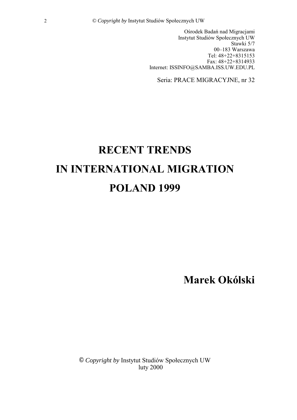Ośrodek Badań nad Migracjami Instytut Studiów Społecznych UW Stawki 5/7 00-183 Warszawa Tel: 48+22+8315153 Fax: 48+22+8314933 Internet: ISSINFO@SAMBA.ISS.UW.EDU.PL

Seria: PRACE MIGRACYJNE, nr 32

# **RECENT TRENDS IN INTERNATIONAL MIGRATION POLAND 1999**

**Marek OkÛlski** 

© Copyright by Instytut Studiów Społecznych UW luty 2000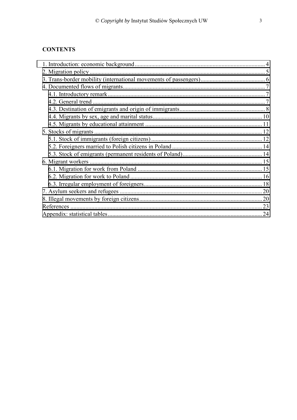# **CONTENTS**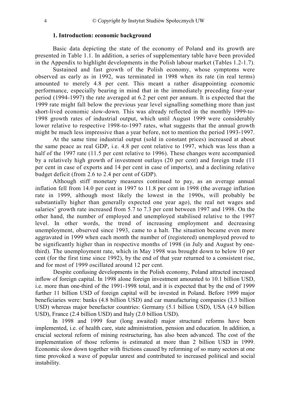# **1. Introduction: economic background**

<span id="page-3-0"></span>Basic data depicting the state of the economy of Poland and its growth are presented in Table 1.1. In addition, a series of supplementary table have been provided in the Appendix to highlight developments in the Polish labour market (Tables 1.2-1.7).

Sustained and fast growth of the Polish economy, whose symptoms were observed as early as in 1992, was terminated in 1998 when its rate (in real terms) amounted to merely 4.8 per cent. This meant a rather disappointing economic performance, especially bearing in mind that in the immediately preceding four-year period (1994-1997) the rate averaged at 6.2 per cent per annum. It is expected that the 1999 rate might fall below the previous year level signalling something more than just short-lived economic slow-down. This was already reflected in the monthly 1999-to-1998 growth rates of industrial output, which until August 1999 were considerably lower relative to respective 1998-to-1997 rates, what suggests that the annual growth might be much less impressive than a year before, not to mention the period 1993-1997.

At the same time industrial output (sold in constant prices) increased at about the same peace as real GDP, i.e. 4.8 per cent relative to 1997, which was less than a half of the 1997 rate (11.5 per cent relative to 1996). These changes were accompanied by a relatively high growth of investment outlays (20 per cent) and foreign trade (11 per cent in case of exports and 14 per cent in case of imports), and a declining relative budget deficit (from 2.6 to 2.4 per cent of GDP).

Although stiff monetary measures continued to pay, as an average annual inflation fell from 14.0 per cent in 1997 to 11.8 per cent in 1998 (the average inflation rate in 1999, although most likely the lowest in the 1990s, will probably be substantially higher than generally expected one year ago), the real net wages and salaries' growth rate increased from 5.7 to 7.3 per cent between 1997 and 1998. On the other hand, the number of employed and unemployed stabilised relative to the 1997 level. In other words, the trend of increasing employment and decreasing unemployment, observed since 1993, came to a halt. The situation became even more aggravated in 1999 when each month the number of (registered) unemployed proved to be significantly higher than in respective months of 1998 (in July and August by onethird). The unemployment rate, which in May 1998 was brought down to below 10 per cent (for the first time since 1992), by the end of that year returned to a consistent rise, and for most of 1999 oscillated around 12 per cent.

Despite confusing developments in the Polish economy, Poland attracted increased inflow of foreign capital. In 1998 alone foreign investment amounted to 10.1 billion USD, i.e. more than one-third of the 1991-1998 total, and it is expected that by the end of 1999 further 11 billion USD of foreign capital will be invested in Poland. Before 1999 major beneficiaries were: banks (4.8 billion USD) and car manufacturing companies (3.3 billion USD) whereas major benefactor countries: Germany (5.1 billion USD), USA (4.9 billion USD), France (2.4 billion USD) and Italy (2.0 billion USD).

 In 1998 and 1999 four (long awaited) major structural reforms have been implemented, i.e. of health care, state administration, pension and education. In addition, a crucial sectoral reform of mining restructuring, has also been advanced. The cost of the implementation of those reforms is estimated at more than 2 billion USD in 1999. Economic slow down together with frictions caused by reforming of so many sectors at one time provoked a wave of popular unrest and contributed to increased political and social instability.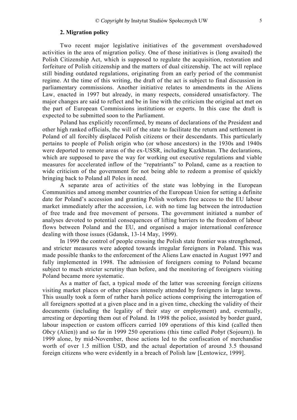# **2. Migration policy**

<span id="page-4-0"></span>Two recent major legislative initiatives of the government overshadowed activities in the area of migration policy. One of those initiatives is (long awaited) the Polish Citizenship Act, which is supposed to regulate the acquisition, restoration and forfeiture of Polish citizenship and the matters of dual citizenship. The act will replace still binding outdated regulations, originating from an early period of the communist regime. At the time of this writing, the draft of the act is subject to final discussion in parliamentary commissions. Another initiative relates to amendments in the Aliens Law, enacted in 1997 but already, in many respects, considered unsatisfactory. The major changes are said to reflect and be in line with the criticism the original act met on the part of European Commissions institutions or experts. In this case the draft is expected to be submitted soon to the Parliament.

Poland has explicitly reconfirmed, by means of declarations of the President and other high ranked officials, the will of the state to facilitate the return and settlement in Poland of all forcibly displaced Polish citizens or their descendants. This particularly pertains to people of Polish origin who (or whose ancestors) in the 1930s and 1940s were deported to remote areas of the ex-USSR, including Kazkhstan. The declarations, which are supposed to pave the way for working out executive regulations and viable measures for accelerated inflow of the "repatriants" to Poland, came as a reaction to wide criticism of the government for not being able to redeem a promise of quickly bringing back to Poland all Poles in need.

A separate area of activities of the state was lobbying in the European Communities and among member countries of the European Union for setting a definite date for Poland's accession and granting Polish workers free access to the EU labour market immediately after the accession, i.e. with no time lag between the introduction of free trade and free movement of persons. The government initiated a number of analyses devoted to potential consequences of lifting barriers to the freedom of labour flows between Poland and the EU, and organised a major international conference dealing with those issues (Gdansk, 13-14 May, 1999).

In 1999 the control of people crossing the Polish state frontier was strengthened, and stricter measures were adopted towards irregular foreigners in Poland. This was made possible thanks to the enforcement of the Aliens Law enacted in August 1997 and fully implemented in 1998. The admission of foreigners coming to Poland became subject to much stricter scrutiny than before, and the monitoring of foreigners visiting Poland became more systematic.

As a matter of fact, a typical mode of the latter was screening foreign citizens visiting market places or other places intensely attended by foreigners in large towns. This usually took a form of rather harsh police actions comprising the interrogation of all foreigners spotted at a given place and in a given time, checking the validity of their documents (including the legality of their stay or employment) and, eventually, arresting or deporting them out of Poland. In 1998 the police, assisted by border guard, labour inspection or custom officers carried 109 operations of this kind (called then *Obcy* (Alien)) and so far in 1999 250 operations (this time called *Pobyt* (Sojourn)). In 1999 alone, by mid-November, those actions led to the confiscation of merchandise worth of over 1.5 million USD, and the actual deportation of around 3.5 thousand foreign citizens who were evidently in a breach of Polish law [Lentowicz, 1999].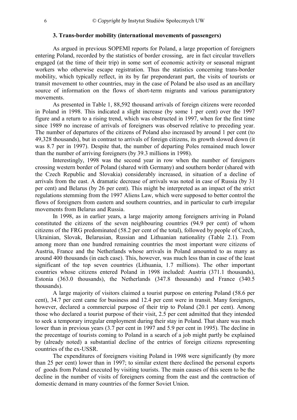# **3. Trans-border mobility (international movements of passengers)**

<span id="page-5-0"></span> As argued in previous SOPEMI reports for Poland, a large proportion of foreigners entering Poland, recorded by the statistics of border crossing, are in fact circular travellers engaged (at the time of their trip) in some sort of economic activity or seasonal migrant workers who otherwise escape registration. Thus the statistics concerning trans-border mobility, which typically reflect, in its by far preponderant part, the visits of tourists or transit movement to other countries, may in the case of Poland be also used as an ancillary source of information on the flows of short-term migrants and various paramigratory movements.

 As presented in Table 1, 88,592 thousand arrivals of foreign citizens were recorded in Poland in 1998. This indicated a slight increase (by some 1 per cent) over the 1997 figure and a return to a rising trend, which was obstructed in 1997, when for the first time since 1989 no increase of arrivals of foreigners was observed relative to preceding year. The number of departures of the citizens of Poland also increased by around 1 per cent (to 49,328 thousands), but in contrast to arrivals of foreign citizens, its growth slowed down (it was 8.7 per in 1997). Despite that, the number of departing Poles remained much lower than the number of arriving foreigners (by 39.3 millions in 1998).

 Interestingly, 1998 was the second year in row when the number of foreigners crossing western border of Poland (shared with Germany) and southern border (shared with the Czech Republic and Slovakia) considerably increased, in situation of a decline of arrivals from the east. A dramatic decrease of arrivals was noted in case of Russia (by 31 per cent) and Belarus (by 26 per cent). This might be interpreted as an impact of the strict regulations stemming from the 1997 Aliens Law, which were supposed to better control the flows of foreigners from eastern and southern countries, and in particular to curb irregular movements from Belarus and Russia.

 In 1998, as in earlier years, a large majority among foreigners arriving in Poland constituted the citizens of the seven neighbouring countries (94.9 per cent) of whom citizens of the FRG predominated (58.2 per cent of the total), followed by people of Czech, Ukrainian, Slovak, Belarusian, Russian and Lithuanian nationality (Table 2.1). From among more than one hundred remaining countries the most important were citizens of Austria, France and the Netherlands whose arrivals in Poland amounted to as many as around 400 thousands (in each case). This, however, was much less than in case of the least significant of the top seven countries (Lithuania, 1.7 millions). The other important countries whose citizens entered Poland in 1998 included: Austria (371.1 thousands), Estonia (363.0 thousands), the Netherlands (347.8 thousands) and France (340.5 thousands).

 A large majority of visitors claimed a tourist purpose on entering Poland (58.6 per cent), 34.7 per cent came for business and 12.4 per cent were in transit. Many foreigners, however, declared a commercial purpose of their trip to Poland (20.1 per cent). Among those who declared a tourist purpose of their visit, 2.5 per cent admitted that they intended to seek a temporary irregular employment during their stay in Poland. That share was much lower than in previous years (3.7 per cent in 1997 and 5.9 per cent in 1995). The decline in the precentage of tourists coming to Poland in a search of a job might partly be explained by (already noted) a substantial decline of the entries of foreign citizens representing countries of the ex-USSR.

 The expenditures of foreigners visiting Poland in 1998 were significantly (by more than 25 per cent) lower than in 1997; to similar extent there declined the personal exports of goods from Poland executed by visiting tourists. The main causes of this seem to be the decline in the number of visits of foreigners coming from the east and the contraction of domestic demand in many countries of the former Soviet Union.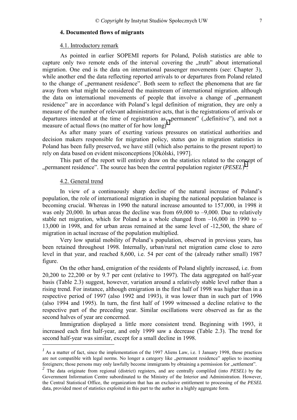# <span id="page-6-0"></span>**4. Documented flows of migrants**

#### 4.1. Introductory remark

As pointed in earlier SOPEMI reports for Poland, Polish statistics are able to capture only two remote ends of the interval covering the "truth" about international migration. One end is the data on international passenger movements (see: Chapter 3), while another end the data reflecting reported arrivals to or departures from Poland related to the change of "permanent residence". Both seem to reflect the phenomena that are far away from what might be considered the mainstream of international migration. although the data on international movements of people that involve a change of "permanent residence" are in accordance with Poland's legal definition of migration, they are only a measure of the number of relevant administrative acts, that is the registrations of arrivals or departures intended at the time of registration as "permanent" ("definitive"), and not a measure of actual flows (no matter of for how long)*<sup>1</sup>*.

 As after many years of exerting various pressures on statistical authorities and decision makers responsible for migration policy, *status quo* in migration statistics in Poland has been fully preserved, we have still (which also pertains to the present report) to rely on data based on evident misconceptions [Okólski, 1997].

 This part of the report will entirely draw on the statistics related to the concept of "permanent residence". The source has been the central population register  $(PESEL)^2$ .

#### 4.2. General trend

In view of a continuously sharp decline of the natural increase of Poland's population, the role of international migration in shaping the national population balance is becoming crucial. Whereas in 1990 the natural increase amounted to 157,000, in 1998 it was only 20,000. In urban areas the decline was from  $69,000$  to  $-9,000$ . Due to relatively stable net migration, which for Poland as a whole changed from  $-16,000$  in 1990 to  $-$ 13,000 in 1998, and for urban areas remained at the same level of -12,500, the share of migration in actual increase of the population multiplied.

Very low spatial mobility of Poland's population, observed in previous years, has been retained throughout 1998. Internally, urban/rural net migration came close to zero level in that year, and reached 8,600, i.e. 54 per cent of the (already rather small) 1987 figure.

On the other hand, emigration of the residents of Poland slightly increased, i.e. from 20,200 to 22,200 or by 9.7 per cent (relative to 1997). The data aggregated on half-year basis (Table 2.3) suggest, however, variation around a relatively stable level rather than a rising trend. For instance, although emigration in the first half of 1998 was higher than in a respective period of 1997 (also 1992 and 1993), it was lower than in such part of 1996 (also 1994 and 1995). In turn, the first half of 1999 witnessed a decline relative to the respective part of the preceding year. Similar oscillations were observed as far as the second halves of year are concerned.

Immigration displayed a little more consistent trend. Beginning with 1993, it increased each first half-year, and only 1999 saw a decrease (Table 2.3). The trend for second half-year was similar, except for a small decline in 1998.

<sup>&</sup>lt;sup>1</sup> As a matter of fact, since the implementation of the 1997 Aliens Law, i.e. 1 January 1998, those practices are not compatible with legal norms. No longer a category like "permanent residence" applies to incoming foreigners; those persons may only lawfully become immigrants by obtaining a permission for wettlement".

<sup>&</sup>lt;sup>2</sup> The data originate from regional (district) registers, and are centrally compliled (into *PESEL*) by the Government Information Centre subordinated to the Ministry of the Interior and Administration. However, the Central Statistical Office, the organization that has an exclusive entitlement to processing of the *PESEL* data, provided most of statistics exploited in this part to the author in a highly aggregate form.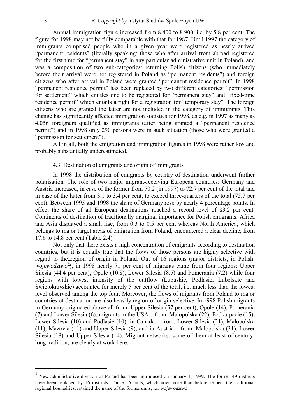<span id="page-7-0"></span>Annual immigration figure increased from 8,400 to 8,900, i.e. by 5.8 per cent. The figure for 1998 may not be fully comparable with that for 1987. Until 1997 the category of immigrants comprised people who in a given year were registered as newly arrived ìpermanent residentsî (literally speaking: those who after arrival from abroad registered for the first time for "permanent stay" in any particular administrative unit in Poland), and was a composition of two sub-categories: returning Polish citizens (who immediately before their arrival were not registered in Poland as "permanent residents") and foreign citizens who after arrival in Poland were granted "permanent residence permit". In 1998 "permanent residence permit" has been replaced by two different categories: "permission for settlement" which entitles one to be registered for "permanent stay" and "fixed-time residence permit" which entails a right for a registration for "temporary stay". The foreign citizens who are granted the latter are not included in the category of immigrants. This change has significantly affected immigration statistics for 1998, as e.g. in 1997 as many as 4,056 foreigners qualified as immigrants (after being granted a "permanent residence permitî) and in 1998 only 290 persons were in such situation (those who were granted a "permission for settlement").

All in all, both the emigration and immigration figures in 1998 were rather low and probably substantially underestimated.

# 4.3. Destination of emigrants and origin of immigrants

In 1998 the distribution of emigrants by country of destination underwent further polarisation. The role of two major migrant-receiving European countries: Germany and Austria increased, in case of the former from 70.2 (in 1997) to 72.7 per cent of the total and in case of the latter from 3.1 to 3.4 per cent, to exceed three-quarters of the total (75.7 per cent). Between 1995 and 1998 the share of Germany rose by nearly 4 percentage points. In effect the share of all European destinations reached a record level of 83.2 per cent. Continents of destination of traditionally marginal importance for Polish emigrants: Africa and Asia displayed a small rise, from 0.3 to 0.5 per cent whereas North America, which belongs to major target areas of emigration from Poland, encountered a clear decline, from 17.6 to 14.8 per cent (Table 2.4).

Not only that there exists a high concentration of emigrants according to destination countries, but it is equally true that the flows of those persons are highly selective with regard to the region of origin in Poland. Out of 16 regions (major districts, in Polish: wojewodztwo<sup>3</sup>), in 1998 nearly 71 per cent of migrants came from four regions: Upper Silesia (44.4 per cent), Opole (10.8), Lower Silesia (8.5) and Pomerania (7.2) while four regions with lowest intensity of the outflow (Lubuskie, Podlasie, Lubelskie and Swietokrzyskie) accounted for merely 5 per cent of the total, i.e. much less than the lowest level observed among the top four. Moreover, the flows of migrants from Poland to major countries of destination are also heavily region-of-origin-selective. In 1998 Polish migrants in Germany originated above all from: Upper Silesia (57 per cent), Opole (14), Pomerania (7) and Lower Silesia (6), migrants in the USA – from: Malopolska (22), Podkarpacie (15), Lower Silesia (10) and Podlasie (10), in Canada – from: Lower Silesia (21), Malopolska (11), Mazovia (11) and Upper Silesia (9), and in Austria – from: Malopolska (31), Lower Silesia (18) and Upper Silesia (14). Migrant networks, some of them at least of centurylong tradition, are clearly at work here.

 $\overline{a}$ 

<sup>&</sup>lt;sup>3</sup> New administrative division of Poland has been introduced on January 1, 1999. The former 49 districts have been replaced by 16 districts. Those 16 units, which now more than before respect the traditional regional bounadries, retained the name of the former units, i.e. *wojewodztwo*.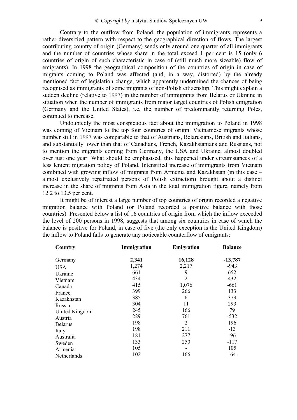Contrary to the outflow from Poland, the population of immigrants represents a rather diversified pattern with respect to the geographical direction of flows. The largest contributing country of origin (Germany) sends only around one quarter of all immigrants and the number of countries whose share in the total exceed 1 per cent is 15 (only 6 countries of origin of such characteristic in case of (still much more sizeable) flow of emigrants). In 1998 the geographical composition of the countries of origin in case of migrants coming to Poland was affected (and, in a way, distorted) by the already mentioned fact of legislation change, which apparently undermined the chances of being recognised as immigrants of some migrants of non-Polish citizenship. This might explain a sudden decline (relative to 1997) in the number of immigrants from Belarus or Ukraine in situation when the number of immigrants from major target countries of Polish emigration (Germany and the United States), i.e. the number of predominantly returning Poles, continued to increase.

Undoubtedly the most conspicuous fact about the immigration to Poland in 1998 was coming of Vietnam to the top four countries of origin. Vietnamese migrants whose number still in 1997 was comparable to that of Austrians, Belarusians, British and Italians, and substantially lower than that of Canadians, French, Kazakhstanians and Russians, not to mention the migrants coming from Germany, the USA and Ukraine, almost doubled over just one year. What should be emphasised, this happened under circumstances of a less lenient migration policy of Poland. Intensified increase of immigrants from Vietnam combined with growing inflow of migrants from Armenia and Kazakhstan (in this case  $$ almost exclusively repatriated persons of Polish extraction) brought about a distinct increase in the share of migrants from Asia in the total immigration figure, namely from 12.2 to 13.5 per cent.

It might be of interest a large number of top countries of origin recorded a negative migration balance with Poland (or Poland recorded a positive balance with those countries). Presented below a list of 16 countries of origin from which the inflow exceeded the level of 200 persons in 1998, suggests that among six countries in case of which the balance is positive for Poland, in case of five (the only exception is the United Kingdom) the inflow to Poland fails to generate any noticeable counterflow of emigrants:

| Country        | Immigration | Emigration               | <b>Balance</b> |
|----------------|-------------|--------------------------|----------------|
| Germany        | 2,341       | 16,128                   | $-13,787$      |
| <b>USA</b>     | 1,274       | 2,217                    | -943           |
| Ukraine        | 661         | 9                        | 652            |
| Vietnam        | 434         | $\overline{2}$           | 432            |
| Canada         | 415         | 1,076                    | $-661$         |
| France         | 399         | 266                      | 133            |
| Kazakhstan     | 385         | 6                        | 379            |
| Russia         | 304         | 11                       | 293            |
| United Kingdom | 245         | 166                      | 79             |
| Austria        | 229         | 761                      | $-532$         |
| <b>Belarus</b> | 198         | 2                        | 196            |
| Italy          | 198         | 211                      | $-13$          |
| Australia      | 181         | 277                      | $-96$          |
| Sweden         | 133         | 250                      | $-117$         |
| Armenia        | 105         | $\overline{\phantom{a}}$ | 105            |
| Netherlands    | 102         | 166                      | -64            |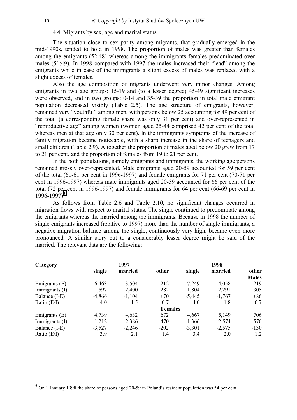# 4.4. Migrants by sex, age and marital status

<span id="page-9-0"></span>The situation close to sex parity among migrants, that gradually emerged in the mid-1990s, tended to hold in 1998. The proportion of males was greater than females among the emigrants (52:48) whereas among the immigrants females predominated over males  $(51:49)$ . In 1998 compared with 1997 the males increased their "lead" among the emigrants while in case of the immigrants a slight excess of males was replaced with a slight excess of females.

Also the age composition of migrants underwent very minor changes. Among emigrants in two age groups: 15-19 and (to a lesser degree) 45-49 significant increases were observed, and in two groups: 0-14 and 35-39 the proportion in total male emigrant population decreased visibly (Table 2.5). The age structure of emigrants, however, remained very "vouthful" among men, with persons below 25 accounting for 49 per cent of the total (a corresponding female share was only 31 per cent) and over-represented in ìreproductive ageî among women (women aged 25-44 comprised 42 per cent of the total whereas men at that age only 30 per cent). In the immigrants symptoms of the increase of family migration became noticeable, with a sharp increase in the share of teenagers and small children (Table 2.9). Altogether the proportion of males aged below 20 grew from 17 to 21 per cent, and the proportion of females from 19 to 21 per cent.

In the both populations, namely emigrants and immigrants, the working age persons remained grossly over-represented. Male emigrants aged 20-59 accounted for 59 per cent of the total (61-61 per cent in 1996-1997) and female emigrants for 71 per cent (70-71 per cent in 1996-1997) whereas male immigrants aged 20-59 accounted for 66 per cent of the total (72 per cent in 1996-1997) and female immigrants for 64 per cent (66-69 per cent in 1996-1997)*<sup>4</sup>* .

As follows from Table 2.6 and Table 2.10, no significant changes occurred in migration flows with respect to marital status. The single continued to predominate among the emigrants whereas the married among the immigrants. Because in 1998 the number of single emigrants increased (relative to 1997) more than the number of single immigrants, a negative migration balance among the single, continuously very high, became even more pronounced. A similar story but to a considerably lesser degree might be said of the married. The relevant data are the following:

| Category        |          | 1997     |                | 1998     |          |                       |  |  |
|-----------------|----------|----------|----------------|----------|----------|-----------------------|--|--|
|                 | single   | married  | other          | single   | married  | other<br><b>Males</b> |  |  |
| Emigrants $(E)$ | 6,463    | 3,504    | 212            | 7,249    | 4,058    | 219                   |  |  |
| Immigrants (I)  | 1,597    | 2,400    | 282            | 1,804    | 2,291    | 305                   |  |  |
| Balance (I-E)   | $-4,866$ | $-1,104$ | $+70$          | $-5,445$ | $-1,767$ | $+86$                 |  |  |
| Ratio $(E/I)$   | 4.0      | 1.5      | 0.7            | 4.0      | 1.8      | 0.7                   |  |  |
|                 |          |          | <b>Females</b> |          |          |                       |  |  |
| Emigrants $(E)$ | 4,739    | 4,632    | 672            | 4,667    | 5,149    | 706                   |  |  |
| Immigrants (I)  | 1,212    | 2,386    | 470            | 1,366    | 2,574    | 576                   |  |  |
| Balance (I-E)   | $-3,527$ | $-2,246$ | $-202$         | $-3,301$ | $-2,575$ | $-130$                |  |  |
| Ratio $(E/I)$   | 3.9      | 2.1      | 1.4            | 3.4      | 2.0      | 1.2                   |  |  |

 $\overline{a}$ 

<sup>&</sup>lt;sup>4</sup> On 1 January 1998 the share of persons aged 20-59 in Poland's resident population was 54 per cent.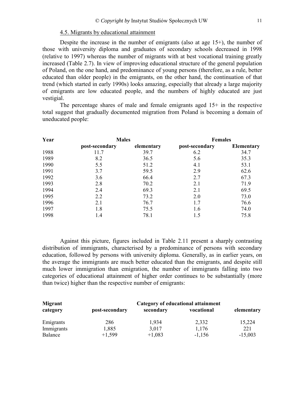# 4.5. Migrants by educational attainment

<span id="page-10-0"></span>Despite the increase in the number of emigrants (also at age 15+), the number of those with university diploma and graduates of secondary schools decreased in 1998 (relative to 1997) whereas the number of migrants with at best vocational training greatly increased (Table 2.7). In view of improving educational structure of the general population of Poland, on the one hand, and predominance of young persons (therefore, as a rule, better educated than older people) in the emigrants, on the other hand, the continuation of that trend (which started in early 1990s) looks amazing, especially that already a large majority of emigrants are low educated people, and the numbers of highly educated are just vestigial.

The percentage shares of male and female emigrants aged 15+ in the respective total suggest that gradually documented migration from Poland is becoming a domain of uneducated people:

| Year<br><b>Males</b> |                |            |                | <b>Females</b>    |  |  |  |
|----------------------|----------------|------------|----------------|-------------------|--|--|--|
|                      | post-secondary | elementary | post-secondary | <b>Elementary</b> |  |  |  |
| 1988                 | 11.7           | 39.7       | 6.2            | 34.7              |  |  |  |
| 1989                 | 8.2            | 36.5       | 5.6            | 35.3              |  |  |  |
| 1990                 | 5.5            | 51.2       | 4.1            | 53.1              |  |  |  |
| 1991                 | 3.7            | 59.5       | 2.9            | 62.6              |  |  |  |
| 1992                 | 3.6            | 66.4       | 2.7            | 67.3              |  |  |  |
| 1993                 | 2.8            | 70.2       | 2.1            | 71.9              |  |  |  |
| 1994                 | 2.4            | 69.3       | 2.1            | 69.5              |  |  |  |
| 1995                 | 2.2            | 73.2       | 2.0            | 73.0              |  |  |  |
| 1996                 | 2.1            | 76.7       | 1.7            | 76.6              |  |  |  |
| 1997                 | 1.8            | 75.5       | 1.6            | 74.0              |  |  |  |
| 1998                 | 1.4            | 78.1       | 1.5            | 75.8              |  |  |  |

 Against this picture, figures included in Table 2.11 present a sharply contrasting distribution of immigrants, characterised by a predominance of persons with secondary education, followed by persons with university diploma. Generally, as in earlier years, on the average the immigrants are much better educated than the emigrants, and despite still much lower immigration than emigration, the number of immigrants falling into two categories of educational attainment of higher order continues to be substantially (more than twice) higher than the respective number of emigrants:

| <b>Migrant</b> | Category of educational attainment |           |            |            |  |  |  |  |
|----------------|------------------------------------|-----------|------------|------------|--|--|--|--|
| category       | post-secondary                     | secondary | vocational | elementary |  |  |  |  |
| Emigrants      | 286                                | 1,934     | 2,332      | 15,224     |  |  |  |  |
| Immigrants     | 1,885                              | 3,017     | 1,176      | 221        |  |  |  |  |
| <b>Balance</b> | $+1,599$                           | $+1,083$  | $-1,156$   | $-15,003$  |  |  |  |  |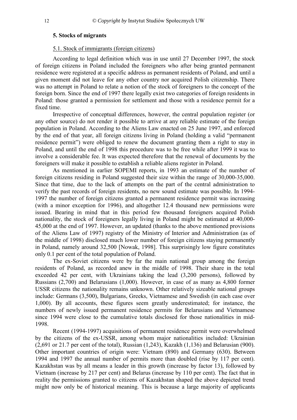# <span id="page-11-0"></span>**5. Stocks of migrants**

# 5.1. Stock of immigrants (foreign citizens)

According to legal definition which was in use until 27 December 1997, the stock of foreign citizens in Poland included the foreigners who after being granted permanent residence were registered at a specific address as permanent residents of Poland, and until a given moment did not leave for any other country nor acquired Polish citizenship. There was no attempt in Poland to relate a notion of the stock of foreigners to the concept of the foreign born. Since the end of 1997 there legally exist two categories of foreign residents in Poland: those granted a permission for settlement and those with a residence permit for a fixed time.

Irrespective of conceptual differences, however, the central population register (or any other source) do not render it possible to arrive at any reliable estimate of the foreign population in Poland. According to the Aliens Law enacted on 25 June 1997, and enforced by the end of that year, all foreign citizens living in Poland (holding a valid "permanent" residence permit") were obliged to renew the document granting them a right to stay in Poland, and until the end of 1998 this procedure was to be free while after 1999 it was to involve a considerable fee. It was expected therefore that the renewal of documents by the foreigners will make it possible to establish a reliable aliens register in Poland.

As mentioned in earlier SOPEMI reports, in 1993 an estimate of the number of foreign citizens residing in Poland suggested their size within the range of 30,000-35,000. Since that time, due to the lack of attempts on the part of the central administration to verify the past records of foreign residents, no new sound estimate was possible. In 1994- 1997 the number of foreign citizens granted a permanent residence permit was increasing (with a minor exception for 1996), and altogether 12.4 thousand new permissions were issued. Bearing in mind that in this period few thousand foreigners acquired Polish nationality, the stock of foreigners legally living in Poland might be estimated at 40,000- 45,000 at the end of 1997. However, an updated (thanks to the above mentioned provisions of the Aliens Law of 1997) registry of the Ministry of Interior and Administration (as of the middle of 1998) disclosed much lower number of foreign citizens staying permanently in Poland, namely around 32,500 [Nowak, 1998]. This surprisingly low figure constitutes only 0.1 per cent of the total population of Poland.

The ex-Soviet citizens were by far the main national group among the foreign residents of Poland, as recorded anew in the middle of 1998. Their share in the total exceeded 42 per cent, with Ukrainians taking the lead (3,200 persons), followed by Russians (2,700) and Belarusians (1,000). However, in case of as many as 4,800 former USSR citizens the nationality remains unknown. Other relatively sizeable national groups include: Germans (3,500), Bulgarians, Greeks, Vietnamese and Swedish (in each case over 1,000). By all accounts, these figures seem greatly underestimated; for instance, the numbers of newly issued permanent residence permits for Belarusians and Vietnamese since 1994 were close to the cumulative totals disclosed for those nationalities in mid-1998.

Recent (1994-1997) acquisitions of permanent residence permit were overwhelmed by the citizens of the ex-USSR, among whom major nationalities included: Ukrainian (2,691 or 21.7 per cent of the total), Russian (1,243), Kazakh (1,136) and Belarusian (900). Other important countries of origin were: Vietnam (890) and Germany (630). Between 1994 and 1997 the annual number of permits more than doubled (rise by 117 per cent). Kazakhstan was by all means a leader in this growth (increase by factor 13), followed by Vietnam (increase by 217 per cent) and Belarus (increase by 110 per cent). The fact that in reality the permissions granted to citizens of Kazakhstan shaped the above depicted trend might now only be of historical meaning. This is because a large majority of applicants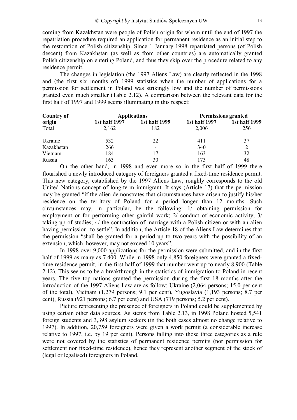coming from Kazakhstan were people of Polish origin for whom until the end of 1997 the repatriation procedure required an application for permanent residence as an initial step to the restoration of Polish citizenship. Since 1 January 1998 repatriated persons (of Polish descent) from Kazakhstan (as well as from other countries) are automatically granted Polish citizenship on entering Poland, and thus they skip over the procedure related to any residence permit.

The changes in legislation (the 1997 Aliens Law) are clearly reflected in the 1998 and (the first six months of) 1999 statistics when the number of applications for a permission for settlement in Poland was strikingly low and the number of permissions granted even much smaller (Table 2.12). A comparison between the relevant data for the first half of 1997 and 1999 seems illuminating in this respect:

| <b>Country of</b> |               | <b>Applications</b>      | <b>Permissions granted</b> |               |  |  |
|-------------------|---------------|--------------------------|----------------------------|---------------|--|--|
| origin            | 1st half 1997 | 1st half 1999            | 1st half 1997              | 1st half 1999 |  |  |
| Total             | 2,162         | 182                      | 2,006                      | 256           |  |  |
| Ukraine           | 532           | 22                       | 411                        | 37            |  |  |
| Kazakhstan        | 266           | $\overline{\phantom{a}}$ | 340                        |               |  |  |
| Vietnam           | 184           | 17                       | 163                        | 32            |  |  |
| Russia            | 163           | 30                       | 173                        | 48            |  |  |

 On the other hand, in 1998 and even more so in the first half of 1999 there flourished a newly introduced category of foreigners granted a fixed-time residence permit. This new category, established by the 1997 Aliens Law, roughly corresponds to the old United Nations concept of long-term immigrant. It says (Article 17) that the permission may be granted "if the alien demonstrates that circumstances have arisen to justify his/her residence on the territory of Poland for a period longer than 12 months. Such circumstances may, in particular, be the following: 1/ obtaining permission for employment or for performing other gainful work; 2/ conduct of economic activity; 3/ taking up of studies; 4/ the contraction of marriage with a Polish citizen or with an alien having permission to settle". In addition, the Article 18 of the Aliens Law determines that the permission "shall be granted for a period up to two years with the possibility of an extension, which, however, may not exceed 10 years".

In 1998 over 9,000 applications for the permission were submitted, and in the first half of 1999 as many as 7,400. While in 1998 only 4,850 foreigners were granted a fixedtime residence permit, in the first half of 1999 that number went up to nearly 8,900 (Table 2.12). This seems to be a breakthrough in the statistics of immigration to Poland in recent years. The five top nations granted the permission during the first 18 months after the introduction of the 1997 Aliens Law are as follow: Ukraine (2,064 persons; 15.0 per cent of the total), Vietnam (1,279 persons; 9.1 per cent), Yugoslavia (1,193 persons; 8.7 per cent), Russia (921 persons; 6.7 per cent) and USA (719 persons; 5.2 per cent).

Picture representing the presence of foreigners in Poland could be supplemented by using certain other data sources. As stems from Table 2.13, in 1998 Poland hosted 5,541 foreign students and 3,398 asylum seekers (in the both cases almost no change relative to 1997). In addition, 20,759 foreigners were given a work permit (a considerable increase relative to 1997, i.e. by 19 per cent). Persons falling into those three categories as a rule were not covered by the statistics of permanent residence permits (nor permission for settlement nor fixed-time residence), hence they represent another segment of the stock of (legal or legalised) foreigners in Poland.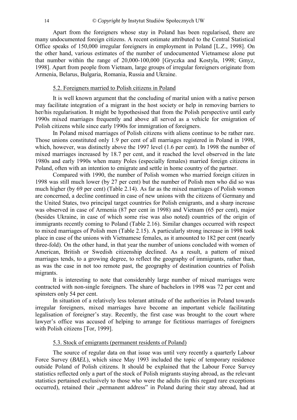<span id="page-13-0"></span>Apart from the foreigners whose stay in Poland has been regularised, there are many undocumented foreign citizens. A recent estimate attributed to the Central Statistical Office speaks of 150,000 irregular foreigners in employment in Poland [L.Z., 1998]. On the other hand, various estimates of the number of undocumented Vietnamese alone put that number within the range of 20,000-100,000 [Gryczka and Kostyla, 1998; Gmyz, 1998]. Apart from people from Vietnam, large groups of irregular foreigners originate from Armenia, Belarus, Bulgaria, Romania, Russia and Ukraine.

# 5.2. Foreigners married to Polish citizens in Poland

It is well known argument that the concluding of marital union with a native person may facilitate integration of a migrant in the host society or help in removing barriers to her/his regularisation. It might be hypothesised that from the Polish perspective until early 1990s mixed marriages frequently and above all served as a vehicle for emigration of Polish citizens while since early 1990s for immigration of foreigners.

In Poland mixed marriages of Polish citizens with aliens continue to be rather rare. Those unions constituted only 1.9 per cent of all marriages registered in Poland in 1998, which, however, was distinctly above the 1997 level (1.6 per cent). In 1998 the number of mixed marriages increased by 18.7 per cent, and it reached the level observed in the late 1980s and early 1990s when many Poles (especially females) married foreign citizens in Poland, often with an intention to emigrate and settle in home country of the partner.

Compared with 1990, the number of Polish women who married foreign citizen in 1998 was still much lower (by 27 per cent) but the number of Polish men who did so was much higher (by 69 per cent) (Table 2.14). As far as the mixed marriages of Polish women are concerned, a decline continued in case of new unions with the citizens of Germany and the United States, two principal target countries for Polish emigrants, and a sharp increase was observed in case of Armenia (87 per cent in 1998) and Vietnam (65 per cent), major (besides Ukraine, in case of which some rise was also noted) countries of the origin of immigrants recently coming to Poland (Table 2.16). Similar changes occurred with respect to mixed marriages of Polish men (Table 2.15). A particularly strong increase in 1998 took place in case of the unions with Vietnamese females, as it amounted to 182 per cent (nearly three-fold). On the other hand, in that year the number of unions concluded with women of American, British or Swedish citizenship declined. As a result, a pattern of mixed marriages tends, to a growing degree, to reflect the geography of immigrants, rather than, as was the case in not too remote past, the geography of destination countries of Polish migrants.

It is interesting to note that considerably large number of mixed marriages were contracted with non-single foreigners. The share of bachelors in 1998 was 72 per cent and spinsters only 54 per cent.

In situation of a relatively less tolerant attitude of the authorities in Poland towards irregular foreigners, mixed marriages have become an important vehicle facilitating legalisation of foreigner's stay. Recently, the first case was brought to the court where lawyer's office was accused of helping to arrange for fictitious marriages of foreigners with Polish citizens [Tor, 1999].

# 5.3. Stock of emigrants (permanent residents of Poland)

The source of regular data on that issue was until very recently a quarterly Labour Force Survey (*BAEL*), which since May 1993 included the topic of temporary residence outside Poland of Polish citizens. It should be explained that the Labour Force Survey statistics reflected only a part of the stock of Polish migrants staying abroad, as the relevant statistics pertained exclusively to those who were the adults (in this regard rare exceptions occurred), retained their "permanent address" in Poland during their stay abroad, had at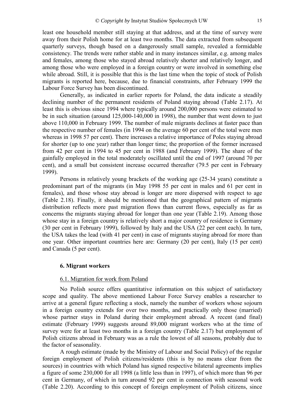<span id="page-14-0"></span>least one household member still staying at that address, and at the time of survey were away from their Polish home for at least two months. The data extracted from subsequent quarterly surveys, though based on a dangerously small sample, revealed a formidable consistency. The trends were rather stable and in many instances similar, e.g. among males and females, among those who stayed abroad relatively shorter and relatively longer, and among those who were employed in a foreign country or were involved in something else while abroad. Still, it is possible that this is the last time when the topic of stock of Polish migrants is reported here, because, due to financial constraints, after February 1999 the Labour Force Survey has been discontinued.

Generally, as indicated in earlier reports for Poland, the data indicate a steadily declining number of the permanent residents of Poland staying abroad (Table 2.17). At least this is obvious since 1994 where typically around 200,000 persons were estimated to be in such situation (around 125,000-140,000 in 1998), the number that went down to just above 110,000 in February 1999. The number of male migrants declines at faster pace than the respective number of females (in 1994 on the average 60 per cent of the total were men whereas in 1998 57 per cent). There increases a relative importance of Poles staying abroad for shorter (up to one year) rather than longer time; the proportion of the former increased from 42 per cent in 1994 to 45 per cent in 1988 (and February 1999). The share of the gainfully employed in the total moderately oscillated until the end of 1997 (around 70 per cent), and a small but consistent increase occurred thereafter (79.5 per cent in February 1999).

Persons in relatively young brackets of the working age (25-34 years) constitute a predominant part of the migrants (in May 1998 55 per cent in males and 61 per cent in females), and those whose stay abroad is longer are more dispersed with respect to age (Table 2.18). Finally, it should be mentioned that the geographical pattern of migrants distribution reflects more past migration flows than current flows, especially as far as concerns the migrants staying abroad for longer than one year (Table 2.19). Among those whose stay in a foreign country is relatively short a major country of residence is Germany (30 per cent in February 1999), followed by Italy and the USA (22 per cent each). In turn, the USA takes the lead (with 41 per cent) in case of migrants staying abroad for more than one year. Other important countries here are: Germany (20 per cent), Italy (15 per cent) and Canada (5 per cent).

# **6. Migrant workers**

# 6.1. Migration for work from Poland

No Polish source offers quantitative information on this subject of satisfactory scope and quality. The above mentioned Labour Force Survey enables a researcher to arrive at a general figure reflecting a stock, namely the number of workers whose sojourn in a foreign country extends for over two months, and practically only those (married) whose partner stays in Poland during their employment abroad. A recent (and final) estimate (February 1999) suggests around 89,000 migrant workers who at the time of survey were for at least two months in a foreign country (Table 2.17) but employment of Polish citizens abroad in February was as a rule the lowest of all seasons, probably due to the factor of seasonality.

A rough estimate (made by the Ministry of Labour and Social Policy) of the regular foreign employment of Polish citizens/residents (this is by no means clear from the sources) in countries with which Poland has signed respective bilateral agreements implies a figure of some 230,000 for all 1998 (a little less than in 1997), of which more than 96 per cent in Germany, of which in turn around 92 per cent in connection with seasonal work (Table 2.20). According to this concept of foreign employment of Polish citizens, since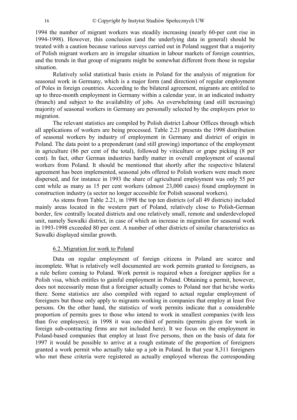<span id="page-15-0"></span>1994 the number of migrant workers was steadily increasing (nearly 60-per cent rise in 1994-1998). However, this conclusion (and the underlying data in general) should be treated with a caution because various surveys carried out in Poland suggest that a majority of Polish migrant workers are in irregular situation in labour markets of foreign countries, and the trends in that group of migrants might be somewhat different from those in regular situation.

Relatively solid statistical basis exists in Poland for the analysis of migration for seasonal work in Germany, which is a major form (and direction) of regular employment of Poles in foreign countries. According to the bilateral agreement, migrants are entitled to up to three-month employment in Germany within a calendar year, in an indicated industry (branch) and subject to the availability of jobs. An overwhelming (and still increasing) majority of seasonal workers in Germany are personally selected by the employers prior to migration.

The relevant statistics are compiled by Polish district Labour Offices through which all applications of workers are being processed. Table 2.21 presents the 1998 distribution of seasonal workers by industry of employment in Germany and district of origin in Poland. The data point to a preponderant (and still growing) importance of the employment in agriculture (86 per cent of the total), followed by viticulture or grape picking (8 per cent). In fact, other German industries hardly matter in overall employment of seasonal workers from Poland. It should be mentioned that shortly after the respective bilateral agreement has been implemented, seasonal jobs offered to Polish workers were much more dispersed, and for instance in 1993 the share of agricultural employment was only 55 per cent while as many as 15 per cent workers (almost 23,000 cases) found employment in construction industry (a sector no longer accessible for Polish seasonal workers).

As stems from Table 2.21, in 1998 the top ten districts (of all 49 districts) included mainly areas located in the western part of Poland, relatively close to Polish-German border, few centrally located districts and one relatively small, remote and underdeveloped unit, namely Suwalki district, in case of which an increase in migration for seasonal work in 1993-1998 exceeded 80 per cent. A number of other districts of similar characteristics as Suwalki displayed similar growth.

# 6.2. Migration for work to Poland

Data on regular employment of foreign citizens in Poland are scarce and incomplete. What is relatively well documented are work permits granted to foreigners, as a rule before coming to Poland. Work permit is required when a foreigner applies for a Polish visa, which entitles to gainful employment in Poland. Obtaining a permit, however, does not necessarily mean that a foreigner actually comes to Poland nor that he/she works there. Some statistics are also compiled with regard to actual regular employment of foreigners but those only apply to migrants working in companies that employ at least five persons. On the other hand, the statistics of work permits indicate that a considerable proportion of permits goes to those who intend to work in smallest companies (with less than five employees); in 1998 it was one-third of permits (permits given for work in foreign sub-contracting firms are not included here). It we focus on the employment in Poland-based companies that employ at least five persons, then on the basis of data for 1997 it would be possible to arrive at a rough estimate of the proportion of foreigners granted a work permit who actually take up a job in Poland. In that year 8,311 foreigners who met these criteria were registered as actually employed whereas the corresponding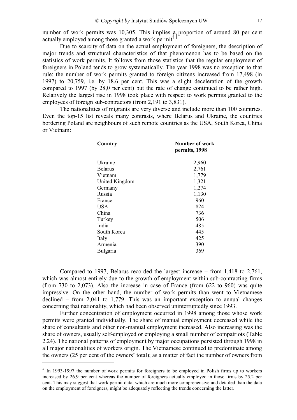number of work permits was 10,305. This implies a proportion of around 80 per cent actually employed among those granted a work permit<sup>5</sup>.

Due to scarcity of data on the actual employment of foreigners, the description of major trends and structural characteristics of that phenomenon has to be based on the statistics of work permits. It follows from those statistics that the regular employment of foreigners in Poland tends to grow systematically. The year 1998 was no exception to that rule: the number of work permits granted to foreign citizens increased from 17,498 (in 1997) to 20,759, i.e. by 18.6 per cent. This was a slight deceleration of the growth compared to 1997 (by 28,0 per cent) but the rate of change continued to be rather high. Relatively the largest rise in 1998 took place with respect to work permits granted to the employees of foreign sub-contractors (from 2,191 to 3,831).

The nationalities of migrants are very diverse and include more than 100 countries. Even the top-15 list reveals many contrasts, where Belarus and Ukraine, the countries bordering Poland are neighbours of such remote countries as the USA, South Korea, China or Vietnam:

| Country         | Number of work<br>permits, 1998 |
|-----------------|---------------------------------|
| Ukraine         | 2,960                           |
| <b>Belarus</b>  | 2,761                           |
| Vietnam         | 1,779                           |
| United Kingdom  | 1,321                           |
| Germany         | 1,274                           |
| Russia          | 1,130                           |
| France          | 960                             |
| USA             | 824                             |
| China           | 736                             |
| Turkey          | 506                             |
| India           | 485                             |
| South Korea     | 445                             |
| Italy           | 425                             |
| Armenia         | 390                             |
| <b>Bulgaria</b> | 369                             |

Compared to 1997, Belarus recorded the largest increase  $-$  from 1,418 to 2,761, which was almost entirely due to the growth of employment within sub-contracting firms (from 730 to 2,073). Also the increase in case of France (from 622 to 960) was quite impressive. On the other hand, the number of work permits than went to Vietnamese declined  $-$  from 2,041 to 1,779. This was an important exception to annual changes concerning that nationality, which had been observed uninterruptedly since 1993.

Further concentration of employment occurred in 1998 among those whose work permits were granted individually. The share of manual employment decreased while the share of consultants and other non-manual employment increased. Also increasing was the share of owners, usually self-employed or employing a small number of compatriots (Table 2.24). The national patterns of employment by major occupations persisted through 1998 in all major nationalities of workers origin. The Vietnamese continued to predominate among the owners (25 per cent of the owners' total); as a matter of fact the number of owners from

1

<sup>&</sup>lt;sup>5</sup> In 1993-1997 the number of work permits for foreigners to be employed in Polish firms up to workers increased by 26.9 per cent whereas the number of foreigners actually employed in those firms by 25.2 per cent. This may suggest that work permit data, which are much more comprehensive and detailed than the data on the employment of foreigners, might be adequately reflecting the trends concerning the latter.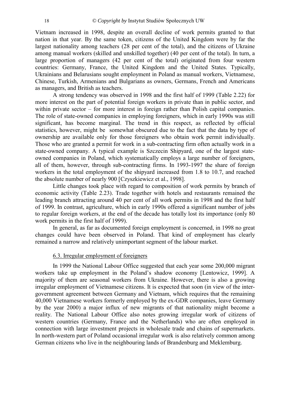<span id="page-17-0"></span>Vietnam increased in 1998, despite an overall decline of work permits granted to that nation in that year. By the same token, citizens of the United Kingdom were by far the largest nationality among teachers (28 per cent of the total), and the citizens of Ukraine among manual workers (skilled and unskilled together) (40 per cent of the total). In turn, a large proportion of managers (42 per cent of the total) originated from four western countries: Germany, France, the United Kingdom and the United States. Typically, Ukrainians and Belarusians sought employment in Poland as manual workers, Vietnamese, Chinese, Turkish, Armenians and Bulgarians as owners, Germans, French and Americans as managers, and British as teachers.

A strong tendency was observed in 1998 and the first half of 1999 (Table 2.22) for more interest on the part of potential foreign workers in private than in public sector, and within private sector  $-$  for more interest in foreign rather than Polish capital companies. The role of state-owned companies in employing foreigners, which in early 1990s was still significant, has become marginal. The trend in this respect, as reflected by official statistics, however, might be somewhat obscured due to the fact that the data by type of ownership are available only for those foreigners who obtain work permit individually. Those who are granted a permit for work in a sub-contracting firm often actually work in a state-owned company. A typical example is Szczecin Shipyard, one of the largest stateowned companies in Poland, which systematically employs a large number of foreigners, all of them, however, through sub-contracting firms. In 1993-1997 the share of foreign workers in the total employment of the shipyard increased from 1.8 to 10.7, and reached the absolute number of nearly 900 [Czyszkiewicz et al., 1998].

Little changes took place with regard to composition of work permits by branch of economic activity (Table 2.23). Trade together with hotels and restaurants remained the leading branch attracting around 40 per cent of all work permits in 1998 and the first half of 1999. In contrast, agriculture, which in early 1990s offered a significant number of jobs to regular foreign workers, at the end of the decade has totally lost its importance (only 80 work permits in the first half of 1999).

In general, as far as documented foreign employment is concerned, in 1998 no great changes could have been observed in Poland. That kind of employment has clearly remained a narrow and relatively unimportant segment of the labour market.

# 6.3. Irregular employment of foreigners

In 1999 the National Labour Office suggested that each year some 200,000 migrant workers take up employment in the Poland's shadow economy [Lentowicz, 1999]. A majority of them are seasonal workers from Ukraine. However, there is also a growing irregular employment of Vietnamese citizens. It is expected that soon (in view of the intergovernment agreement between Germany and Vietnam, which requires that the remaining 40,000 Vietnamese workers formerly employed by the ex-GDR companies, leave Germany by the year 2000) a major influx of new migrants of that nationality might become a reality. The National Labour Office also notes growing irregular work of citizens of western countries (Germany, France and the Netherlands) who are often employed in connection with large investment projects in wholesale trade and chains of supermarkets. In north-western part of Poland occasional irregular work is also relatively common among German citizens who live in the neighbouring lands of Brandenburg and Meklemburg.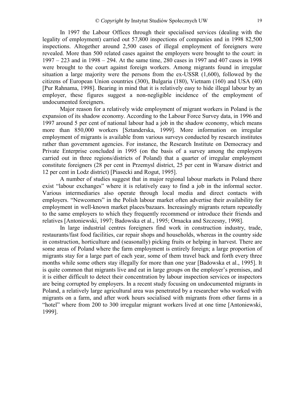In 1997 the Labour Offices through their specialised services (dealing with the legality of employment) carried out 57,800 inspections of companies and in 1998 82,500 inspections. Altogether around 2,500 cases of illegal employment of foreigners were revealed. More than 500 related cases against the employers were brought to the court: in  $1997 - 223$  and in 1998 – 294. At the same time, 280 cases in 1997 and 407 cases in 1998 were brought to the court against foreign workers. Among migrants found in irregular situation a large majority were the persons from the ex-USSR (1,600), followed by the citizens of European Union countries (300), Bulgaria (180), Vietnam (160) and USA (40) [Pur Rahnama, 1998]. Bearing in mind that it is relatively easy to hide illegal labour by an employer, these figures suggest a non-negligible incidence of the employment of undocumented foreigners.

Major reason for a relatively wide employment of migrant workers in Poland is the expansion of its shadow economy. According to the Labour Force Survey data, in 1996 and 1997 around 5 per cent of national labour had a job in the shadow economy, which means more than 850,000 workers [Sztanderska, 1999]. More information on irregular employment of migrants is available from various surveys conducted by research institutes rather than government agencies. For instance, the Research Institute on Democracy and Private Enterprise concluded in 1995 (on the basis of a survey among the employers carried out in three regions/districts of Poland) that a quarter of irregular employment constitute foreigners (28 per cent in Przemysl district, 25 per cent in Warsaw district and 12 per cent in Lodz district) [Piasecki and Rogut, 1995].

A number of studies suggest that in major regional labour markets in Poland there exist "labour exchanges" where it is relatively easy to find a job in the informal sector. Various intermediaries also operate through local media and direct contacts with employers. "Newcomers" in the Polish labour market often advertise their availability for employment in well-known market places/bazaars. Increasingly migrants return repeatedly to the same employers to which they frequently recommend or introduce their friends and relatives [Antoniewski, 1997; Badowska et al., 1995; Ornacka and Szczesny, 1998].

In large industrial centres foreigners find work in construction industry, trade, restaurants/fast food facilities, car repair shops and households, whereas in the country side in construction, horticulture and (seasonally) picking fruits or helping in harvest. There are some areas of Poland where the farm employment is entirely foreign; a large proportion of migrants stay for a large part of each year, some of them travel back and forth every three months while some others stay illegally for more than one year [Badowska et al., 1995]. It is quite common that migrants live and eat in large groups on the employer's premises, and it is either difficult to detect their concentration by labour inspection services or inspectors are being corrupted by employers. In a recent study focusing on undocumented migrants in Poland, a relatively large agricultural area was penetrated by a researcher who worked with migrants on a farm, and after work hours socialised with migrants from other farms in a "hotel" where from 200 to 300 irregular migrant workers lived at one time [Antoniewski, 1999].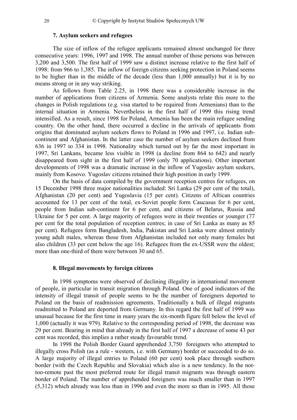# **7. Asylum seekers and refugees**

<span id="page-19-0"></span>The size of inflow of the refugee applicants remained almost unchanged for three consecutive years: 1996, 1997 and 1998. The annual number of those persons was between 3,200 and 3,500. The first half of 1999 saw a distinct increase relative to the first half of 1998: from 966 to 1,385. The inflow of foreign citizens seeking protection in Poland seems to be higher than in the middle of the decade (less than 1,000 annually) but it is by no means strong or in any way striking.

As follows from Table 2.25, in 1998 there was a considerable increase in the number of applications from citizens of Armenia. Some analysts relate this more to the changes in Polish regulations (e.g. visa started to be required from Armenians) than to the internal situation in Armenia. Nevertheless in the first half of 1999 this rising trend intensified. As a result, since 1998 for Poland, Armenia has been the main refugee sending country. On the other hand, there occurred a decline in the arrivals of applicants from origins that dominated asylum seekers flows to Poland in 1996 and 1997, i.e. Indian subcontinent and Afghanistan. In the latter case the number of asylum seekers declined from 636 in 1997 to 334 in 1998. Nationality which turned out by far the most important in 1997, Sri Lankans, became less visible in 1998 (a decline from 864 to 642) and nearly disappeared from sight in the first half of 1999 (only 70 applications). Other important developments of 1998 was a dramatic increase in the inflow of Yugoslav asylum seekers, mainly from Kosovo. Yugoslav citizens retained their high position in early 1999.

On the basis of data compiled by the government reception centres for refugees, on 15 December 1998 three major nationalities included: Sri Lanka (29 per cent of the total), Afghanistan (20 per cent) and Yugoslavia (15 per cent). Citizens of African countries accounted for 13 per cent of the total, ex-Soviet people form Caucasus for 6 per cent, people from Indian sub-continent for 6 per cent, and citizens of Belarus, Russia and Ukraine for 5 per cent. A large majority of refugees were in their twenties or younger (77 per cent for the total population of reception centres; in case of Sri Lanka as many as 85 per cent). Refugees form Bangladesh, India, Pakistan and Sri Lanka were almost entirely young adult males, whereas those from Afghanistan included not only many females but also children (33 per cent below the age 16). Refugees from the ex-USSR were the oldest; more than one-third of them were between 30 and 65.

# **8. Illegal movements by foreign citizens**

In 1998 symptoms were observed of declining illegality in international movement of people, in particular in transit migration through Poland. One of good indicators of the intensity of illegal transit of people seems to be the number of foreigners deported to Poland on the basis of readmission agreements. Traditionally a bulk of illegal migrants readmitted to Poland are deported from Germany. In this regard the first half of 1999 was unusual because for the first time in many years the six-month figure fell below the level of 1,000 (actually it was 979). Relative to the corresponding period of 1998, the decrease was 29 per cent. Bearing in mind that already in the first half of 1997 a decrease of some 43 per cent was recorded, this implies a rather steady favourable trend.

In 1998 the Polish Border Guard apprehended 3,750 foreigners who attempted to illegally cross Polish (as a rule - western, i.e. with Germany) border or succeeded to do so. A large majority of illegal entries to Poland (60 per cent) took place through southern border (with the Czech Republic and Slovakia) which also is a new tendency. In the nottoo-remote past the most preferred route for illegal transit migrants was through eastern border of Poland. The number of apprehended foreigners was much smaller than in 1997 (5,312) which already was less than in 1996 and even the more so than in 1995. All those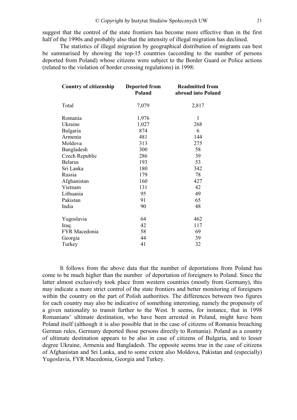suggest that the control of the state frontiers has become more effective than in the first half of the 1990s and probably also that the intensity of illegal migration has declined.

The statistics of illegal migration by geographical distribution of migrants can best be summarised by showing the top-15 countries (according to the number of persons deported from Poland) whose citizens were subject to the Border Guard or Police actions (related to the violation of border crossing regulations) in 1998:

| <b>Country of citizenship</b> | <b>Deported from</b><br>Poland | <b>Readmitted from</b><br>abroad into Poland |
|-------------------------------|--------------------------------|----------------------------------------------|
| Total                         | 7,079                          | 2,817                                        |
| Romania                       | 1,976                          | 1                                            |
| Ukraine                       | 1,027                          | 268                                          |
| <b>Bulgaria</b>               | 874                            | 6                                            |
| Armenia                       | 481                            | 144                                          |
| Moldova                       | 313                            | 275                                          |
| Bangladesh                    | 300                            | 58                                           |
| Czech Republic                | 286                            | 39                                           |
| <b>Belarus</b>                | 193                            | 53                                           |
| Sri Lanka                     | 180                            | 342                                          |
| Russia                        | 179                            | 78                                           |
| Afghanistan                   | 160                            | 427                                          |
| Vietnam                       | 131                            | 42                                           |
| Lithuania                     | 95                             | 49                                           |
| Pakistan                      | 91                             | 65                                           |
| India                         | 90                             | 48                                           |
| Yugoslavia                    | 64                             | 462                                          |
| Iraq                          | 42                             | 117                                          |
| FYR Macedonia                 | 58                             | 69                                           |
| Georgia                       | 44                             | 39                                           |
| Turkey                        | 41                             | 32                                           |

It follows from the above data that the number of deportations from Poland has come to be much higher than the number of deportation of foreigners to Poland. Since the latter almost exclusively took place from western countries (mostly from Germany), this may indicate a more strict control of the state frontiers and better monitoring of foreigners within the country on the part of Polish authorities. The differences between two figures for each country may also be indicative of something interesting, namely the propensity of a given nationality to transit further to the West. It seems, for instance, that in 1998 Romanians' ultimate destination, who have been arrested in Poland, might have been Poland itself (although it is also possible that in the case of citizens of Romania breaching German rules, Germany deported those persons directly to Romania). Poland as a country of ultimate destination appears to be also in case of citizens of Bulgaria, and to lesser degree Ukraine, Armenia and Bangladesh. The opposite seems true in the case of citizens of Afghanistan and Sri Lanka, and to some extent also Moldova, Pakistan and (especially) Yugoslavia, FYR Macedonia, Georgia and Turkey.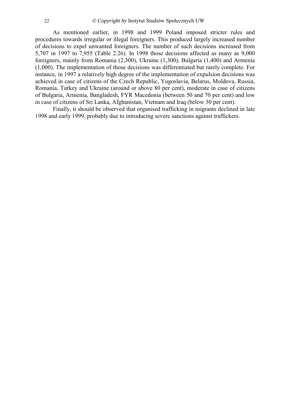As mentioned earlier, in 1998 and 1999 Poland imposed stricter rules and procedures towards irregular or illegal foreigners. This produced largely increased number of decisions to expel unwanted foreigners. The number of such decisions increased from 5,707 in 1997 to 7,955 (Table 2.26). In 1998 those decisions affected as many as 9,000 foreigners, mainly from Romania (2,300), Ukraine (1,300), Bulgaria (1,400) and Armenia (1,000). The implementation of those decisions was differentiated but rarely complete. For instance, in 1997 a relatively high degree of the implementation of expulsion decisions was achieved in case of citizens of the Czech Republic, Yugoslavia, Belarus, Moldova, Russia, Romania, Turkey and Ukraine (around or above 80 per cent), moderate in case of citizens of Bulgaria, Armenia, Bangladesh, FYR Macedonia (between 50 and 70 per cent) and low in case of citizens of Sri Lanka, Afghanistan, Vietnam and Iraq (below 30 per cent).

Finally, it should be observed that organised trafficking in migrants declined in late 1998 and early 1999, probably due to introducing severe sanctions against traffickers.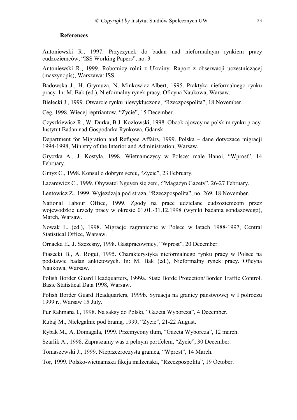# **References**

<span id="page-22-0"></span>Antoniewski R., 1997. Przyczynek do badan nad nieformalnym rynkiem pracy cudzoziemców, "ISS Working Papers", no. 3.

Antoniewski R., 1999. Robotnicy rolni z Ukrainy. Raport z obserwacji uczestniczącej (maszynopis), Warszawa: ISS

Badowska J., H. Grymuza, N. Minkowicz-Albert, 1995. Praktyka nieformalnego rynku pracy. In: M. Bak (ed.), Nieformalny rynek pracy. Oficyna Naukowa, Warsaw.

Bielecki J., 1999. Otwarcie rynku niewykluczone, "Rzeczpospolita", 18 November.

Ceg, 1998. Wiecej reptriantow, "Zycie", 15 December.

Czyszkiewicz R., W. Durka, B.J. Kozlowski, 1998. Obcokrajowcy na polskim rynku pracy. Instytut Badan nad Gospodarka Rynkowa, Gdansk.

Department for Migration and Refugee Affairs, 1999. Polska – dane dotyczace migracji 1994-1998, Ministry of the Interior and Administration, Warsaw.

Gryczka A., J. Kostyla, 1998. Wietnamczycy w Polsce: male Hanoi, "Wprost", 14 February.

Gmyz C., 1998. Konsul o dobrym sercu, "Zycie", 23 February.

Lazarewicz C., 1999. Obywatel Nguyen się zeni, :"Magazyn Gazety", 26-27 February.

Lentowicz Z., 1999. Wyjezdzaja pod straza, "Rzeczpospolita", no. 269, 18 November.

National Labour Office, 1999. Zgody na prace udzielane cudzoziemcom przez wojewodzkie urzedy pracy w okresie 01.01.-31.12.1998 (wyniki badania sondazowego), March, Warsaw.

Nowak L. (ed.), 1998. Migracje zagraniczne w Polsce w latach 1988-1997, Central Statistical Office, Warsaw.

Ornacka E., J. Szczesny, 1998. Gastpracownicy, "Wprost", 20 December.

Piasecki B., A. Rogut, 1995. Charakterystyka nieformalnego rynku pracy w Polsce na podstawie badan ankietowych. In: M. Bak (ed.), Nieformalny rynek pracy. Oficyna Naukowa, Warsaw.

Polish Border Guard Headquarters, 1999a. State Borde Protection/Border Traffic Control. Basic Statistical Data 1998, Warsaw.

Polish Border Guard Headquarters, 1999b. Syruacja na granicy panstwowej w I polroczu 1999 r., Warsaw 15 July.

Pur Rahmana I., 1998. Na saksy do Polski, "Gazeta Wyborcza", 4 December.

Rubaj M., Nielegalnie pod bramą, 1999, "Zycie", 21-22 August.

Rybak M., A. Domagala, 1999. Przemycony tlum, "Gazeta Wyborcza", 12 march.

Szarlik A., 1998. Zapraszamy was z pelnym portfelem, "Zycie", 30 December.

Tomaszewski J., 1999. Nieprzezroczysta granica, "Wprost", 14 March.

Tor, 1999. Polsko-wietnamska fikcja malzenska, "Rzeczpospolita", 19 October.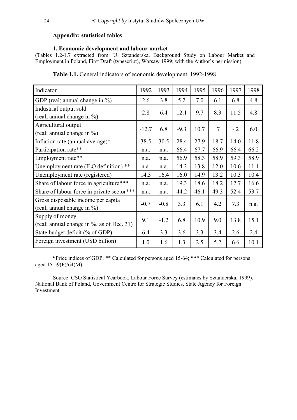# <span id="page-23-0"></span>**Appendix: statistical tables**

# **1. Economic development and labour market**

(Tables 1.2-1.7 extracted from: U. Sztanderska, Background Study on Labour Market and Employment in Poland, First Draft (typescript), Warsaw 1999; with the Author's permission)

| Indicator                                                        | 1992    | 1993   | 1994   | 1995 | 1996 | 1997  | 1998 |
|------------------------------------------------------------------|---------|--------|--------|------|------|-------|------|
| GDP (real; annual change in $\%$ )                               | 2.6     | 3.8    | 5.2    | 7.0  | 6.1  | 6.8   | 4.8  |
| Industrial output sold<br>(real; annual change in %)             | 2.8     | 6.4    | 12.1   | 9.7  | 8.3  | 11.5  | 4.8  |
| Agricultural output<br>(real; annual change in $\%$ )            | $-12.7$ | 6.8    | $-9.3$ | 10.7 | .7   | $-.2$ | 6.0  |
| Inflation rate (annual average)*                                 | 38.5    | 30.5   | 28.4   | 27.9 | 18.7 | 14.0  | 11.8 |
| Participation rate**                                             | n.a.    | n.a.   | 66.4   | 67.7 | 66.9 | 66.4  | 66.2 |
| Employment rate**                                                | n.a.    | n.a.   | 56.9   | 58.3 | 58.9 | 59.3  | 58.9 |
| Unemployment rate (ILO definition) **                            | n.a.    | n.a.   | 14.3   | 13.8 | 12.0 | 10.6  | 11.1 |
| Unemployment rate (registered)                                   | 14.3    | 16.4   | 16.0   | 14.9 | 13.2 | 10.3  | 10.4 |
| Share of labour force in agriculture***                          | n.a.    | n.a.   | 19.3   | 18.6 | 18.2 | 17.7  | 16.6 |
| Share of labour force in private sector***                       | n.a.    | n.a.   | 44.2   | 46.1 | 49.3 | 52.4  | 53.7 |
| Gross disposable income per capita<br>(real; annual change in %) | $-0.7$  | $-0.8$ | 3.3    | 6.1  | 4.2  | 7.3   | n.a. |
| Supply of money<br>(real; annual change in %, as of Dec. 31)     | 9.1     | $-1.2$ | 6.8    | 10.9 | 9.0  | 13.8  | 15.1 |
| State budget deficit (% of GDP)                                  | 6.4     | 3.3    | 3.6    | 3.3  | 3.4  | 2.6   | 2.4  |
| Foreign investment (USD billion)                                 | 1.0     | 1.6    | 1.3    | 2.5  | 5.2  | 6.6   | 10.1 |

**Table 1.1.** General indicators of economic development, 1992-1998

\*Price indices of GDP; \*\* Calculated for persons aged 15-64; \*\*\* Calculated for persons aged 15-59(F)/64(M)

Source: CSO Statistical Yearbook, Labour Force Survey (estimates by Sztanderska, 1999), National Bank of Poland, Government Centre for Strategic Studies, State Agency for Foreign Investment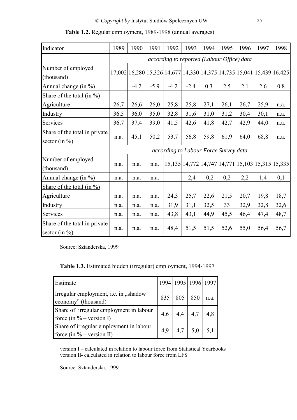| Indicator                                          | 1989 | 1990                                                                  | 1991   | 1992   | 1993   | 1994   | 1995                                  | 1996 | 1997                                                   | 1998 |
|----------------------------------------------------|------|-----------------------------------------------------------------------|--------|--------|--------|--------|---------------------------------------|------|--------------------------------------------------------|------|
|                                                    |      | according to reported (Labour Office) data                            |        |        |        |        |                                       |      |                                                        |      |
| Number of employed<br>(thousand)                   |      | 17,002 16,280 15,326 14,677 14,330 14,375 14,735 15,041 15,439 16,425 |        |        |        |        |                                       |      |                                                        |      |
| Annual change (in $\%$ )                           |      | $-4.2$                                                                | $-5.9$ | $-4.2$ | $-2.4$ | 0.3    | 2.5                                   | 2.1  | 2.6                                                    | 0.8  |
| Share of the total $(in \frac{9}{0})$              |      |                                                                       |        |        |        |        |                                       |      |                                                        |      |
| Agriculture                                        | 26,7 | 26,6                                                                  | 26,0   | 25,8   | 25,8   | 27,1   | 26,1                                  | 26,7 | 25,9                                                   | n.a. |
| Industry                                           | 36,5 | 36,0                                                                  | 35,0   | 32,8   | 31,6   | 31,0   | 31,2                                  | 30,4 | 30,1                                                   | n.a. |
| Services                                           | 36,7 | 37,4                                                                  | 39,0   | 41,5   | 42,6   | 41,8   | 42,7                                  | 42,9 | 44,0                                                   | n.a. |
| Share of the total in private<br>sector (in $\%$ ) | n.a. | 45,1                                                                  | 50,2   | 53,7   | 56,8   | 59,8   | 61,9                                  | 64,0 | 68,8                                                   | n.a. |
|                                                    |      |                                                                       |        |        |        |        | according to Labour Force Survey data |      |                                                        |      |
| Number of employed<br>(thousand)                   | n.a. | n.a.                                                                  | n.a.   |        |        |        |                                       |      | 15,135  14,772  14,747  14,771  15,103  15,315  15,335 |      |
| Annual change (in %)                               | n.a. | n.a.                                                                  | n.a.   |        | $-2,4$ | $-0,2$ | 0,2                                   | 2,2  | 1,4                                                    | 0,1  |
| Share of the total $(in %)$                        |      |                                                                       |        |        |        |        |                                       |      |                                                        |      |
| Agriculture                                        | n.a. | n.a.                                                                  | n.a.   | 24,3   | 25,7   | 22,6   | 21,5                                  | 20,7 | 19,8                                                   | 18,7 |
| Industry                                           | n.a. | n.a.                                                                  | n.a.   | 31,9   | 31,1   | 32,5   | 33                                    | 32,9 | 32,8                                                   | 32,6 |
| Services                                           | n.a. | n.a.                                                                  | n.a.   | 43,8   | 43,1   | 44,9   | 45,5                                  | 46,4 | 47,4                                                   | 48,7 |
| Share of the total in private<br>sector (in $\%$ ) | n.a. | n.a.                                                                  | n.a.   | 48,4   | 51,5   | 51,5   | 52,6                                  | 55,0 | 56,4                                                   | 56,7 |

**Table 1.2.** Regular employment, 1989-1998 (annual averages)

Source: Sztanderska, 1999

**Table 1.3.** Estimated hidden (irregular) employment, 1994-1997

| Estimate                                                                |     | 1994   1995   1996   1997         |                   |
|-------------------------------------------------------------------------|-----|-----------------------------------|-------------------|
| Irregular employment, i.e. in "shadow<br>economy" (thousand)            |     | $835 \mid 805 \mid 850 \mid n.a.$ |                   |
| Share of irregular employment in labour<br>force (in $\%$ – version I)  | 4,6 | $4,4$   $4,7$   $4,8$             |                   |
| Share of irregular employment in labour<br>force (in $\%$ – version II) | 4.9 | $4,7$   5,0                       | $\vert 5,1 \vert$ |

version I – calculated in relation to labour force from Statistical Yearbooks version II- calculated in relation to labour force from LFS

Source: Sztanderska, 1999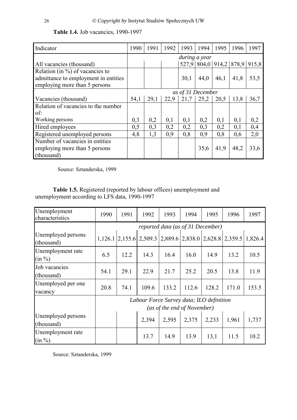| Indicator                            | 1990 | 1991 | 1992 | 1993              | 1994 | 1995 | 1996                          | 1997 |
|--------------------------------------|------|------|------|-------------------|------|------|-------------------------------|------|
|                                      |      |      |      | during a year     |      |      |                               |      |
| All vacancies (thousand)             |      |      |      |                   |      |      | 527,9 804,0 914,2 878,9 915,8 |      |
| Relation (in $\%$ ) of vacancies to  |      |      |      |                   |      |      |                               |      |
| admittance to employment in entities |      |      |      | 30,1              | 44,0 | 46,1 | 41,8                          | 53,5 |
| employing more than 5 persons        |      |      |      |                   |      |      |                               |      |
|                                      |      |      |      | as of 31 December |      |      |                               |      |
| Vacancies (thousand)                 | 54,1 | 29,1 | 22.9 | 21,7              | 25,2 | 20,5 | 13,8                          | 36,7 |
| Relation of vacancies to the number  |      |      |      |                   |      |      |                               |      |
| of:                                  |      |      |      |                   |      |      |                               |      |
| Working persons                      | 0,3  | 0,2  | 0,1  | 0,1               | 0,2  | 0,1  | 0,1                           | 0,2  |
| Hired employees                      | 0,5  | 0,3  | 0,2  | 0,2               | 0,3  | 0,2  | 0,1                           | 0,4  |
| Registered unemployed persons        | 4,8  | 1,3  | 0,9  | 0,8               | 0,9  | 0,8  | 0,6                           | 2,0  |
| Number of vacancies in entities      |      |      |      |                   |      |      |                               |      |
| employing more than 5 persons        |      |      |      |                   | 35,6 | 41,9 | 48,2                          | 33,6 |
| (thousand)                           |      |      |      |                   |      |      |                               |      |

# **Table 1.4.** Job vacancies, 1990-1997

Source: Sztanderska, 1999

**Table 1.5.** Registered (reported by labour offices) unemployment and unemployment according to LFS data, 1990-1997

| Unemployment<br>characteristics  | 1990 | 1991                                                                    | 1992                                                                            | 1993  | 1994                              | 1995  | 1996  | 1997  |
|----------------------------------|------|-------------------------------------------------------------------------|---------------------------------------------------------------------------------|-------|-----------------------------------|-------|-------|-------|
|                                  |      |                                                                         |                                                                                 |       | reported data (as of 31 December) |       |       |       |
| Unemployed persons<br>(thousand) |      |                                                                         | $1,126.1$   2,155.6   2,509.3   2,889.6   2,838.0   2,628.8   2,359.5   1,826.4 |       |                                   |       |       |       |
| Unemployment rate<br>$(in \%)$   | 6.5  | 12.2                                                                    | 14.3                                                                            | 16.4  | 16.0                              | 14.9  | 13.2  | 10.5  |
| Job vacancies<br>(thousand)      | 54.1 | 29.1                                                                    | 22.9                                                                            | 21.7  | 25.2                              | 20.5  | 13.8  | 11.9  |
| Unemployed per one<br>vacancy    | 20.8 | 74.1                                                                    | 109.6                                                                           | 133.2 | 112.6                             | 128.2 | 171.0 | 153.5 |
|                                  |      | Labour Force Survey data; ILO definition<br>(as of the end of November) |                                                                                 |       |                                   |       |       |       |
| Unemployed persons<br>(thousand) |      |                                                                         | 2,394                                                                           | 2,595 | 2,375                             | 2,233 | 1,961 | 1,737 |
| Unemployment rate<br>(in %)      |      |                                                                         | 13.7                                                                            | 14.9  | 13.9                              | 13,1  | 11.5  | 10.2  |

Source: Sztanderska, 1999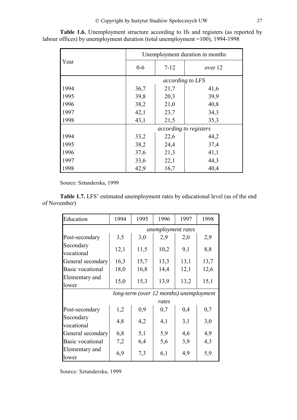|      | Unemployment duration in months |                               |         |  |  |  |
|------|---------------------------------|-------------------------------|---------|--|--|--|
| Year | $7 - 12$<br>$0-6$               |                               | over 12 |  |  |  |
|      | according to LFS                |                               |         |  |  |  |
| 1994 | 36,7                            | 21,7                          | 41,6    |  |  |  |
| 1995 | 39,8                            | 20,3                          | 39,9    |  |  |  |
| 1996 | 38,2                            | 21,0                          | 40,8    |  |  |  |
| 1997 | 42,1                            | 23,7                          | 34,3    |  |  |  |
| 1998 | 43,1                            | 21,5                          | 35,3    |  |  |  |
|      |                                 | <i>according to registers</i> |         |  |  |  |
| 1994 | 33,2                            | 22,6                          | 44,2    |  |  |  |
| 1995 | 38,2                            | 24,4                          | 37,4    |  |  |  |
| 1996 | 37,6                            | 21,3                          | 41,1    |  |  |  |
| 1997 | 33,6                            | 22,1                          | 44,3    |  |  |  |
| 1998 | 42,9                            | 16,7                          | 40,4    |  |  |  |

**Table 1.6.** Unemployment structure according to lfs and registers (as reported by labour offices) by unemployment duration (total unemployment =100), 1994-1998

Source: Sztanderska, 1999

**Table 1.7.** LFS' estimated unemployment rates by educational level (as of the end of November)

| Education               | 1994               | 1995 | 1996                                    | 1997 | 1998 |  |  |  |
|-------------------------|--------------------|------|-----------------------------------------|------|------|--|--|--|
|                         | unemployment rates |      |                                         |      |      |  |  |  |
| Post-secondary          | 3,5                | 3,0  | 2,9                                     | 2,0  | 2,9  |  |  |  |
| Secondary<br>vocational | 12,1               | 11,5 | 10,2                                    | 9,1  | 8,8  |  |  |  |
| General secondary       | 16,3               | 15,7 | 13,3                                    | 13,1 | 13,7 |  |  |  |
| Basic vocational        | 18,0               | 16,8 | 14,4                                    | 12,1 | 12,6 |  |  |  |
| Elementary and<br>lower | 15,0               | 15,3 | 13,9                                    | 13,2 | 15,1 |  |  |  |
|                         |                    |      | long-term (over 12 months) unemployment |      |      |  |  |  |
|                         |                    |      | rates                                   |      |      |  |  |  |
| Post-secondary          | 1,2                | 0,9  | 0,7                                     | 0,4  | 0,7  |  |  |  |
| Secondary<br>vocational | 4,8                | 4,2  | 4,1                                     | 3,1  | 3,0  |  |  |  |
| General secondary       | 6,8                | 5,1  | 5,9                                     | 4,6  | 4,9  |  |  |  |
| Basic vocational        | 7,2                | 6,4  | 5,6                                     | 3,9  | 4,3  |  |  |  |
| Elementary and<br>lower | 6,9                | 7,3  | 6,1                                     | 4,9  | 5,9  |  |  |  |

Source: Sztanderska, 1999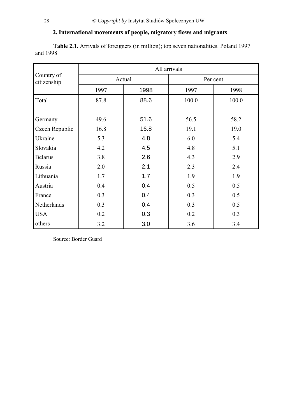# **2. International movements of people, migratory flows and migrants**

**Table 2.1.** Arrivals of foreigners (in million); top seven nationalities. Poland 1997 and 1998

|                           | All arrivals |      |          |       |  |  |
|---------------------------|--------------|------|----------|-------|--|--|
| Country of<br>citizenship | Actual       |      | Per cent |       |  |  |
|                           | 1997         | 1998 | 1997     | 1998  |  |  |
| Total                     | 87.8         | 88.6 | 100.0    | 100.0 |  |  |
|                           |              |      |          |       |  |  |
| Germany                   | 49.6         | 51.6 | 56.5     | 58.2  |  |  |
| Czech Republic            | 16.8         | 16.8 | 19.1     | 19.0  |  |  |
| Ukraine                   | 5.3          | 4.8  | 6.0      | 5.4   |  |  |
| Slovakia                  | 4.2          | 4.5  | 4.8      | 5.1   |  |  |
| <b>Belarus</b>            | 3.8          | 2.6  | 4.3      | 2.9   |  |  |
| Russia                    | 2.0          | 2.1  | 2.3      | 2.4   |  |  |
| Lithuania                 | 1.7          | 1.7  | 1.9      | 1.9   |  |  |
| Austria                   | 0.4          | 0.4  | 0.5      | 0.5   |  |  |
| France                    | 0.3          | 0.4  | 0.3      | 0.5   |  |  |
| Netherlands               | 0.3          | 0.4  | 0.3      | 0.5   |  |  |
| <b>USA</b>                | 0.2          | 0.3  | 0.2      | 0.3   |  |  |
| others                    | 3.2          | 3.0  | 3.6      | 3.4   |  |  |

Source: Border Guard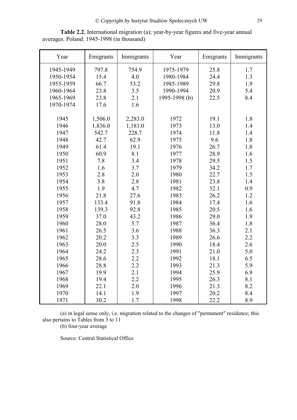| Year      | Emigrants | Immigrants | Year          | Emigrants | Immigrants |
|-----------|-----------|------------|---------------|-----------|------------|
| 1945-1949 | 797.8     | 754.9      | 1975-1979     | 25.8      | 1.7        |
| 1950-1954 | 15.4      | 4.0        | 1980-1984     | 24.4      | 1.3        |
| 1955-1959 | 66.7      | 53.2       | 1985-1989     | 29.8      | 1.9        |
| 1960-1964 | 23.8      | 3.5        | 1990-1994     | 20.9      | 5.4        |
| 1965-1969 | 23.8      | 2.1        | 1995-1998 (b) | 22.5      | 8.4        |
| 1970-1974 | 17.6      | 1.6        |               |           |            |
|           |           |            |               |           |            |
| 1945      | 1,506.0   | 2,283.0    | 1972          | 19.1      | 1.8        |
| 1946      | 1,836.0   | 1,181.0    | 1973          | 13.0      | 1.4        |
| 1947      | 542.7     | 228.7      | 1974          | 11.8      | 1.4        |
| 1948      | 42.7      | 62.9       | 1975          | 9.6       | 1.8        |
| 1949      | 61.4      | 19.1       | 1976          | 26.7      | 1.8        |
| 1950      | 60.9      | 8.1        | 1977          | 28.9      | 1.6        |
| 1951      | 7.8       | 3.4        | 1978          | 29.5      | 1.5        |
| 1952      | 1.6       | 3.7        | 1979          | 34.2      | 1.7        |
| 1953      | 2.8       | 2.0        | 1980          | 22.7      | 1.5        |
| 1954      | 3.8       | 2.8        | 1981          | 23.8      | 1.4        |
| 1955      | 1.9       | 4.7        | 1982          | 32.1      | 0.9        |
| 1956      | 21.8      | 27.6       | 1983          | 26.2      | 1.2        |
| 1957      | 133.4     | 91.8       | 1984          | 17.4      | 1.6        |
| 1958      | 139.3     | 92.8       | 1985          | 20.5      | 1.6        |
| 1959      | 37.0      | 43.2       | 1986          | 29.0      | 1.9        |
| 1960      | 28.0      | 5.7        | 1987          | 36.4      | 1.8        |
| 1961      | 26.5      | 3.6        | 1988          | 36.3      | 2.1        |
| 1962      | 20.2      | 3.3        | 1989          | 26.6      | 2.2        |
| 1963      | 20.0      | 2.5        | 1990          | 18.4      | 2.6        |
| 1964      | 24.2      | 2.3        | 1991          | 21.0      | 5.0        |
| 1965      | 28.6      | 2.2        | 1992          | 18.1      | 6.5        |
| 1966      | 28.8      | 2.2        | 1993          | 21.3      | 5.9        |
| 1967      | 19.9      | 2.1        | 1994          | 25.9      | 6.9        |
| 1968      | 19.4      | 2.2        | 1995          | 26.3      | 8.1        |
| 1969      | 22.1      | 2.0        | 1996          | 21.3      | 8.2        |
| 1970      | 14.1      | 1.9        | 1997          | 20.2      | 8.4        |
| 1971      | 30.2      | 1.7        | 1998          | 22.2      | 8.9        |

**Table 2.2.** International migration (a); year-by-year figures and five-year annual averages. Poland: 1945-1998 (in thousand)

(a) in legal sense only, i.e. migration related to the changes of "permanent" residence; this also pertains to Tables from 3 to 11

(b) four-year average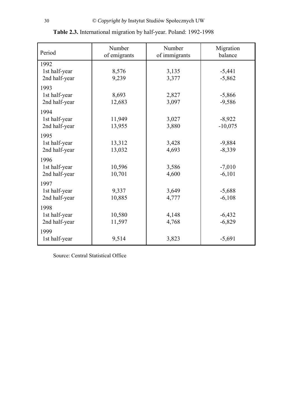| Period                                 | Number<br>of emigrants | Number<br>of immigrants | Migration<br>balance  |
|----------------------------------------|------------------------|-------------------------|-----------------------|
| 1992<br>1st half-year<br>2nd half-year | 8,576<br>9,239         | 3,135<br>3,377          | $-5,441$<br>$-5,862$  |
| 1993<br>1st half-year<br>2nd half-year | 8,693<br>12,683        | 2,827<br>3,097          | $-5,866$<br>$-9,586$  |
| 1994<br>1st half-year<br>2nd half-year | 11,949<br>13,955       | 3,027<br>3,880          | $-8,922$<br>$-10,075$ |
| 1995<br>1st half-year<br>2nd half-year | 13,312<br>13,032       | 3,428<br>4,693          | $-9,884$<br>$-8,339$  |
| 1996<br>1st half-year<br>2nd half-year | 10,596<br>10,701       | 3,586<br>4,600          | $-7,010$<br>$-6,101$  |
| 1997<br>1st half-year<br>2nd half-year | 9,337<br>10,885        | 3,649<br>4,777          | $-5,688$<br>$-6,108$  |
| 1998<br>1st half-year<br>2nd half-year | 10,580<br>11,597       | 4,148<br>4,768          | $-6,432$<br>$-6,829$  |
| 1999<br>1st half-year                  | 9,514                  | 3,823                   | $-5,691$              |

**Table 2.3.** International migration by half-year. Poland: 1992-1998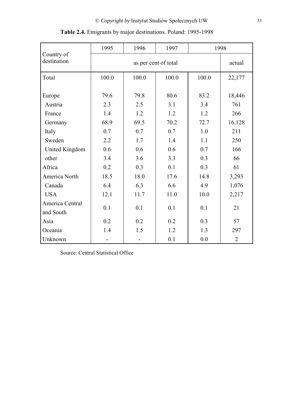|                              | 1995        | 1996        | 1997                 |             | 1998           |
|------------------------------|-------------|-------------|----------------------|-------------|----------------|
| Country of<br>destination    |             |             | as per cent of total |             | actual         |
| Total                        | 100.0       | 100.0       | 100.0                | 100.0       | 22,177         |
| Europe<br>Austria            | 79.6<br>2.3 | 79.8<br>2.5 | 80.6<br>3.1          | 83.2<br>3.4 | 18,446<br>761  |
| France                       | 1.4         | 1.2         | 1.2                  | 1.2         | 266            |
| Germany                      | 68.9        | 69.5        | 70.2                 | 72.7        | 16,128         |
| Italy                        | 0.7         | 0.7         | 0.7                  | 1.0         | 211            |
| Sweden                       | 2.2         | 1.7         | 1.4                  | 1.1         | 250            |
| United Kingdom               | 0.6         | 0.6         | 0.6                  | 0.7         | 166            |
| other                        | 3.4         | 3.6         | 3.3                  | 0.3         | 66             |
| Africa                       | 0.2         | 0.3         | 0.1                  | 0.3         | 61             |
| America North                | 18.5        | 18.0        | 17.6                 | 14.8        | 3,293          |
| Canada                       | 6.4         | 6.3         | 6.6                  | 4.9         | 1,076          |
| <b>USA</b>                   | 12.1        | 11.7        | 11.0                 | 10.0        | 2,217          |
| America Central<br>and South | 0.1         | 0.1         | 0.1                  | 0.1         | 21             |
| Asia                         | 0.2         | 0.2         | 0.2                  | 0.3         | 57             |
| Oceania                      | 1.4         | 1.5         | 1.2                  | 1.3         | 297            |
| Unknown                      |             |             | 0.1                  | 0.0         | $\overline{2}$ |

**Table 2.4.** Emigrants by major destinations. Poland: 1995-1998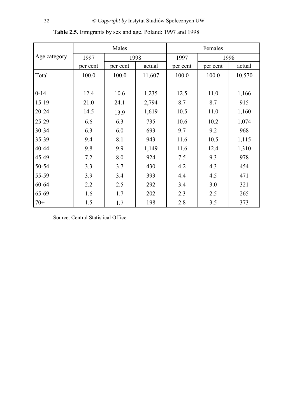|              | Males    |          |        | Females  |          |        |
|--------------|----------|----------|--------|----------|----------|--------|
| Age category | 1997     |          | 1998   |          | 1998     |        |
|              | per cent | per cent | actual | per cent | per cent | actual |
| Total        | 100.0    | 100.0    | 11,607 | 100.0    | 100.0    | 10,570 |
|              |          |          |        |          |          |        |
| $0 - 14$     | 12.4     | 10.6     | 1,235  | 12.5     | 11.0     | 1,166  |
| $15-19$      | 21.0     | 24.1     | 2,794  | 8.7      | 8.7      | 915    |
| 20-24        | 14.5     | 13.9     | 1,619  | 10.5     | 11.0     | 1,160  |
| 25-29        | 6.6      | 6.3      | 735    | 10.6     | 10.2     | 1,074  |
| 30-34        | 6.3      | 6.0      | 693    | 9.7      | 9.2      | 968    |
| 35-39        | 9.4      | 8.1      | 943    | 11.6     | 10.5     | 1,115  |
| 40-44        | 9.8      | 9.9      | 1,149  | 11.6     | 12.4     | 1,310  |
| 45-49        | 7.2      | 8.0      | 924    | 7.5      | 9.3      | 978    |
| 50-54        | 3.3      | 3.7      | 430    | 4.2      | 4.3      | 454    |
| 55-59        | 3.9      | 3.4      | 393    | 4.4      | 4.5      | 471    |
| 60-64        | 2.2      | 2.5      | 292    | 3.4      | 3.0      | 321    |
| 65-69        | 1.6      | 1.7      | 202    | 2.3      | 2.5      | 265    |
| $70+$        | 1.5      | 1.7      | 198    | 2.8      | 3.5      | 373    |

**Table 2.5.** Emigrants by sex and age. Poland: 1997 and 1998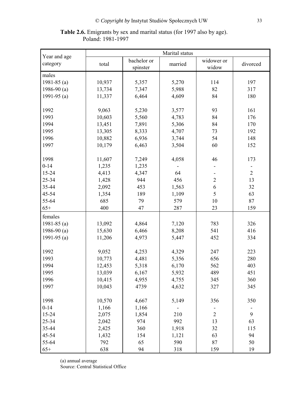**Table 2.6.** Emigrants by sex and marital status (for 1997 also by age). Poland: 1981-1997

|                          | Marital status |                         |         |                     |                |  |
|--------------------------|----------------|-------------------------|---------|---------------------|----------------|--|
| Year and age<br>category | total          | bachelor or<br>spinster | married | widower or<br>widow | divorced       |  |
| males                    |                |                         |         |                     |                |  |
| 1981-85 $(a)$            | 10,937         | 5,357                   | 5,270   | 114                 | 197            |  |
| 1986-90 $(a)$            | 13,734         | 7,347                   | 5,988   | 82                  | 317            |  |
| 1991-95 $(a)$            | 11,337         | 6,464                   | 4,609   | 84                  | 180            |  |
|                          |                |                         |         |                     |                |  |
| 1992                     | 9,063          | 5,230                   | 3,577   | 93                  | 161            |  |
| 1993                     | 10,603         | 5,560                   | 4,783   | 84                  | 176            |  |
| 1994                     | 13,451         | 7,891                   | 5,306   | 84                  | 170            |  |
| 1995                     | 13,305         | 8,333                   | 4,707   | 73                  | 192            |  |
| 1996                     | 10,882         | 6,936                   | 3,744   | 54                  | 148            |  |
| 1997                     | 10,179         | 6,463                   | 3,504   | 60                  | 152            |  |
|                          |                |                         |         |                     |                |  |
| 1998                     | 11,607         | 7,249                   | 4,058   | 46                  | 173            |  |
| $0 - 14$                 | 1,235          | 1,235                   |         |                     |                |  |
| 15-24                    | 4,413          | 4,347                   | 64      |                     | $\overline{2}$ |  |
| 25-34                    | 1,428          | 944                     | 456     | $\overline{2}$      | 13             |  |
| 35-44                    | 2,092          | 453                     | 1,563   | $\boldsymbol{6}$    | 32             |  |
| 45-54                    | 1,354          | 189                     | 1,109   | 5                   | 63             |  |
| 55-64                    | 685            | 79                      | 579     | 10                  | 87             |  |
| $65+$                    | 400            | 47                      | 287     | 23                  | 159            |  |
| females                  |                |                         |         |                     |                |  |
| 1981-85 $(a)$            | 13,092         | 4,864                   | 7,120   | 783                 | 326            |  |
| 1986-90 $(a)$            | 15,630         | 6,466                   | 8,208   | 541                 | 416            |  |
| 1991-95 $(a)$            | 11,206         | 4,973                   | 5,447   | 452                 | 334            |  |
|                          |                |                         |         |                     |                |  |
| 1992                     | 9,052          | 4,253                   | 4,329   | 247                 | 223            |  |
| 1993                     | 10,773         | 4,481                   | 5,356   | 656                 | 280            |  |
| 1994                     | 12,453         | 5,318                   | 6,170   | 562                 | 403            |  |
| 1995                     | 13,039         | 6,167                   | 5,932   | 489                 | 451            |  |
| 1996                     | 10,415         | 4,955                   | 4,755   | 345                 | 360            |  |
| 1997                     | 10,043         | 4739                    | 4,632   | 327                 | 345            |  |
|                          |                |                         |         |                     |                |  |
| 1998                     | 10,570         | 4,667                   | 5,149   | 356                 | 350            |  |
| $0 - 14$                 | 1,166          | 1,166                   |         |                     |                |  |
| 15-24                    | 2,075          | 1,854                   | 210     | $\overline{2}$      | 9              |  |
| 25-34                    | 2,042          | 974                     | 992     | 13                  | 63             |  |
| 35-44                    | 2,425          | 360                     | 1,918   | 32                  | 115            |  |
| 45-54                    | 1,432          | 154                     | 1,121   | 63                  | 94             |  |
| 55-64                    | 792            | 65                      | 590     | 87                  | 50             |  |
| $65+$                    | 638            | 94                      | 318     | 159                 | 19             |  |

(a) annual average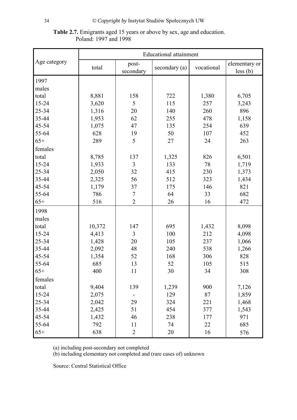|                       | <b>Table 2.7.</b> Emigrants aged 15 years or above by sex, age and education. |
|-----------------------|-------------------------------------------------------------------------------|
| Poland: 1997 and 1998 |                                                                               |

|              | <b>Educational attainment</b> |                |               |            |               |  |
|--------------|-------------------------------|----------------|---------------|------------|---------------|--|
| Age category |                               | post-          |               |            | elementary or |  |
|              | total                         | secondary      | secondary (a) | vocational | less (b)      |  |
| 1997         |                               |                |               |            |               |  |
| males        |                               |                |               |            |               |  |
| total        | 8,881                         | 158            | 722           | 1,380      | 6,705         |  |
| 15-24        | 3,620                         | 5              | 115           | 257        | 3,243         |  |
| 25-34        | 1,316                         | 20             | 140           | 260        | 896           |  |
| 35-44        | 1,953                         | 62             | 255           | 478        | 1,158         |  |
| 45-54        | 1,075                         | 47             | 135           | 254        | 639           |  |
| 55-64        | 628                           | 19             | 50            | 107        | 452           |  |
| $65+$        | 289                           | 5              | 27            | 24         | 263           |  |
| females      |                               |                |               |            |               |  |
| total        | 8,785                         | 137            | 1,325         | 826        | 6,501         |  |
| 15-24        | 1,933                         | $\overline{3}$ | 133           | 78         | 1,719         |  |
| 25-34        | 2,050                         | 32             | 415           | 230        | 1,373         |  |
| 35-44        | 2,325                         | 56             | 512           | 323        | 1,434         |  |
| 45-54        | 1,179                         | 37             | 175           | 146        | 821           |  |
| 55-64        | 786                           | $\overline{7}$ | 64            | 33         | 682           |  |
| $65+$        | 516                           | $\overline{2}$ | 26            | 16         | 472           |  |
| 1998         |                               |                |               |            |               |  |
| males        |                               |                |               |            |               |  |
| total        | 10,372                        | 147            | 695           | 1,432      | 8,098         |  |
| 15-24        | 4,413                         | $\overline{3}$ | 100           | 212        | 4,098         |  |
| 25-34        | 1,428                         | 20             | 105           | 237        | 1,066         |  |
| 35-44        | 2,092                         | 48             | 240           | 538        | 1,266         |  |
| 45-54        | 1,354                         | 52             | 168           | 306        | 828           |  |
| 55-64        | 685                           | 13             | 52            | 105        | 515           |  |
| $65+$        | 400                           | 11             | 30            | 34         | 308           |  |
| females      |                               |                |               |            |               |  |
| total        | 9,404                         | 139            | 1,239         | 900        | 7,126         |  |
| $15 - 24$    | 2,075                         |                | 129           | 87         | 1,859         |  |
| 25-34        | 2,042                         | 29             | 324           | 221        | 1,468         |  |
| 35-44        | 2,425                         | 51             | 454           | 377        | 1,543         |  |
| 45-54        | 1,432                         | 46             | 238           | 177        | 971           |  |
| 55-64        | 792                           | 11             | 74            | 22         | 685           |  |
| $65+$        | 638                           | $\overline{2}$ | 20            | 16         | 576           |  |

(a) including post-secondary not completed

(b) including elementary not completed and (rare cases of) unknown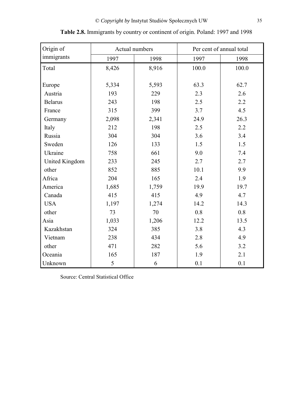| Origin of      | Actual numbers |       | Per cent of annual total |       |
|----------------|----------------|-------|--------------------------|-------|
| immigrants     | 1997           | 1998  | 1997                     | 1998  |
| Total          | 8,426          | 8,916 | 100.0                    | 100.0 |
|                |                |       |                          |       |
| Europe         | 5,334          | 5,593 | 63.3                     | 62.7  |
| Austria        | 193            | 229   | 2.3                      | 2.6   |
| <b>Belarus</b> | 243            | 198   | 2.5                      | 2.2   |
| France         | 315            | 399   | 3.7                      | 4.5   |
| Germany        | 2,098          | 2,341 | 24.9                     | 26.3  |
| Italy          | 212            | 198   | 2.5                      | 2.2   |
| Russia         | 304            | 304   | 3.6                      | 3.4   |
| Sweden         | 126            | 133   | 1.5                      | 1.5   |
| Ukraine        | 758            | 661   | 9.0                      | 7.4   |
| United Kingdom | 233            | 245   | 2.7                      | 2.7   |
| other          | 852            | 885   | 10.1                     | 9.9   |
| Africa         | 204            | 165   | 2.4                      | 1.9   |
| America        | 1,685          | 1,759 | 19.9                     | 19.7  |
| Canada         | 415            | 415   | 4.9                      | 4.7   |
| <b>USA</b>     | 1,197          | 1,274 | 14.2                     | 14.3  |
| other          | 73             | 70    | 0.8                      | 0.8   |
| Asia           | 1,033          | 1,206 | 12.2                     | 13.5  |
| Kazakhstan     | 324            | 385   | 3.8                      | 4.3   |
| Vietnam        | 238            | 434   | 2.8                      | 4.9   |
| other          | 471            | 282   | 5.6                      | 3.2   |
| Oceania        | 165            | 187   | 1.9                      | 2.1   |
| Unknown        | 5              | 6     | 0.1                      | 0.1   |

|  |  |  | <b>Table 2.8.</b> Immigrants by country or continent of origin. Poland: 1997 and 1998 |
|--|--|--|---------------------------------------------------------------------------------------|
|  |  |  |                                                                                       |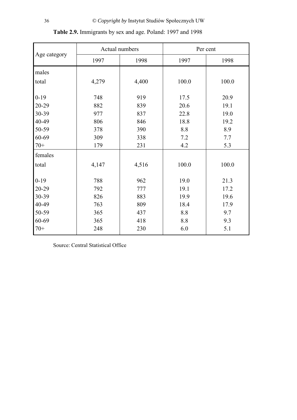|              |              | Actual numbers | Per cent |       |  |
|--------------|--------------|----------------|----------|-------|--|
| Age category | 1997<br>1998 |                | 1997     | 1998  |  |
| males        |              |                |          |       |  |
| total        | 4,279        | 4,400          | 100.0    | 100.0 |  |
| $0-19$       | 748          | 919            | 17.5     | 20.9  |  |
| 20-29        | 882          | 839            | 20.6     | 19.1  |  |
| 30-39        | 977          | 837            | 22.8     | 19.0  |  |
| 40-49        | 806          | 846            | 18.8     | 19.2  |  |
| 50-59        | 378          | 390            | 8.8      | 8.9   |  |
| 60-69        | 309          | 338            | 7.2      | 7.7   |  |
| $70+$        | 179          | 231            | 4.2      | 5.3   |  |
| females      |              |                |          |       |  |
| total        | 4,147        | 4,516          | 100.0    | 100.0 |  |
|              |              |                |          |       |  |
| $0 - 19$     | 788          | 962            | 19.0     | 21.3  |  |
| 20-29        | 792          | 777            | 19.1     | 17.2  |  |
| 30-39        | 826          | 883            | 19.9     | 19.6  |  |
| 40-49        | 763          | 809            | 18.4     | 17.9  |  |
| 50-59        | 365          | 437            | 8.8      | 9.7   |  |
| 60-69        | 365          | 418            | 8.8      | 9.3   |  |
| $70+$        | 248          | 230            | 6.0      | 5.1   |  |

**Table 2.9.** Immigrants by sex and age. Poland: 1997 and 1998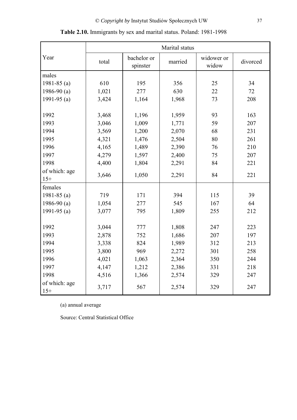|                        |       |                         | Marital status |                     |          |  |
|------------------------|-------|-------------------------|----------------|---------------------|----------|--|
| Year                   | total | bachelor or<br>spinster | married        | widower or<br>widow | divorced |  |
| males                  |       |                         |                |                     |          |  |
| 1981-85 $(a)$          | 610   | 195                     | 356            | 25                  | 34       |  |
| 1986-90 $(a)$          | 1,021 | 277                     | 630            | 22                  | 72       |  |
| 1991-95 $(a)$          | 3,424 | 1,164                   | 1,968          | 73                  | 208      |  |
|                        |       |                         |                |                     |          |  |
| 1992                   | 3,468 | 1,196                   | 1,959          | 93                  | 163      |  |
| 1993                   | 3,046 | 1,009                   | 1,771          | 59                  | 207      |  |
| 1994                   | 3,569 | 1,200                   | 2,070          | 68                  | 231      |  |
| 1995                   | 4,321 | 1,476                   | 2,504          | 80                  | 261      |  |
| 1996                   | 4,165 | 1,489                   | 2,390          | 76                  | 210      |  |
| 1997                   | 4,279 | 1,597                   | 2,400          | 75                  | 207      |  |
| 1998                   | 4,400 | 1,804                   | 2,291          | 84                  | 221      |  |
| of which: age          | 3,646 | 1,050                   | 2,291          | 84                  | 221      |  |
| $15+$                  |       |                         |                |                     |          |  |
| females                |       |                         |                |                     |          |  |
| 1981-85 $(a)$          | 719   | 171                     | 394            | 115                 | 39       |  |
| 1986-90 $(a)$          | 1,054 | 277                     | 545            | 167                 | 64       |  |
| 1991-95 $(a)$          | 3,077 | 795                     | 1,809          | 255                 | 212      |  |
|                        |       |                         |                |                     |          |  |
| 1992                   | 3,044 | 777                     | 1,808          | 247                 | 223      |  |
| 1993                   | 2,878 | 752                     | 1,686          | 207                 | 197      |  |
| 1994                   | 3,338 | 824                     | 1,989          | 312                 | 213      |  |
| 1995                   | 3,800 | 969                     | 2,272          | 301                 | 258      |  |
| 1996                   | 4,021 | 1,063                   | 2,364          | 350                 | 244      |  |
| 1997                   | 4,147 | 1,212                   | 2,386          | 331                 | 218      |  |
| 1998                   | 4,516 | 1,366                   | 2,574          | 329                 | 247      |  |
| of which: age<br>$15+$ | 3,717 | 567                     | 2,574          | 329                 | 247      |  |

**Table 2.10.** Immigrants by sex and marital status. Poland: 1981-1998

(a) annual average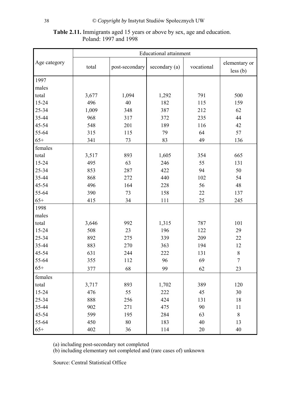# **Table 2.11.** Immigrants aged 15 years or above by sex, age and education. Poland: 1997 and 1998

|              | <b>Educational attainment</b> |                |               |            |                |  |  |  |  |
|--------------|-------------------------------|----------------|---------------|------------|----------------|--|--|--|--|
| Age category |                               |                |               |            | elementary or  |  |  |  |  |
|              | total                         | post-secondary | secondary (a) | vocational | $less$ (b)     |  |  |  |  |
| 1997         |                               |                |               |            |                |  |  |  |  |
| males        |                               |                |               |            |                |  |  |  |  |
| total        | 3,677                         | 1,094          | 1,292         | 791        | 500            |  |  |  |  |
| 15-24        | 496                           | 40             | 182           | 115        | 159            |  |  |  |  |
| 25-34        | 1,009                         | 348            | 387           | 212        | 62             |  |  |  |  |
| 35-44        | 968                           | 317            | 372           | 235        | 44             |  |  |  |  |
| 45-54        | 548                           | 201            | 189           | 116        | 42             |  |  |  |  |
| 55-64        | 315                           | 115            | 79            | 64         | 57             |  |  |  |  |
| $65+$        | 341                           | 73             | 83            | 49         | 136            |  |  |  |  |
| females      |                               |                |               |            |                |  |  |  |  |
| total        | 3,517                         | 893            | 1,605         | 354        | 665            |  |  |  |  |
| 15-24        | 495                           | 63             | 246           | 55         | 131            |  |  |  |  |
| 25-34        | 853                           | 287            | 422           | 94         | 50             |  |  |  |  |
| 35-44        | 868                           | 272            | 440           | 102        | 54             |  |  |  |  |
| 45-54        | 496                           | 164            | 228           | 56         | 48             |  |  |  |  |
| 55-64        | 390                           | 73             | 158           | 22         | 137            |  |  |  |  |
| $65+$        | 415                           | 34             | 111           | 25         | 245            |  |  |  |  |
| 1998         |                               |                |               |            |                |  |  |  |  |
| males        |                               |                |               |            |                |  |  |  |  |
| total        | 3,646                         | 992            | 1,315         | 787        | 101            |  |  |  |  |
| 15-24        | 508                           | 23             | 196           | 122        | 29             |  |  |  |  |
| 25-34        | 892                           | 275            | 339           | 209        | 22             |  |  |  |  |
| 35-44        | 883                           | 270            | 363           | 194        | 12             |  |  |  |  |
| 45-54        | 631                           | 244            | 222           | 131        | $8\,$          |  |  |  |  |
| 55-64        | 355                           | 112            | 96            | 69         | $\overline{7}$ |  |  |  |  |
| $65+$        | 377                           | 68             | 99            | 62         | 23             |  |  |  |  |
| females      |                               |                |               |            |                |  |  |  |  |
| total        | 3,717                         | 893            | 1,702         | 389        | 120            |  |  |  |  |
| 15-24        | 476                           | 55             | 222           | 45         | 30             |  |  |  |  |
| 25-34        | 888                           | 256            | 424           | 131        | 18             |  |  |  |  |
| 35-44        | 902                           | 271            | 475           | 90         | 11             |  |  |  |  |
| 45-54        | 599                           | 195            | 284           | 63         | 8              |  |  |  |  |
| 55-64        | 450                           | 80             | 183           | 40         | 13             |  |  |  |  |
| $65+$        | 402                           | 36             | 114           | 20         | 40             |  |  |  |  |

(a) including post-secondary not completed

(b) including elementary not completed and (rare cases of) unknown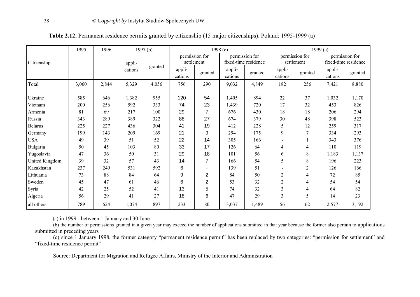|                 | 1995<br>1996<br>1997(b)<br>1998 $(c)$ |       |         |         |         |                | 1999 $(a)$ |                      |                |                |                      |                |
|-----------------|---------------------------------------|-------|---------|---------|---------|----------------|------------|----------------------|----------------|----------------|----------------------|----------------|
|                 |                                       |       |         |         |         | permission for |            | permission for       |                | permission for |                      | permission for |
| Citizenship     |                                       |       | appli-  | granted |         | settlement     |            | fixed-time residence |                | settlement     | fixed-time residence |                |
|                 |                                       |       | cations |         | appli-  | granted        | appli-     | granted              | appli-         | granted        | appli-               | granted        |
|                 |                                       |       |         |         | cations |                | cations    |                      | cations        |                | cations              |                |
| Total           | 3,060                                 | 2,844 | 5,329   | 4,056   | 756     | 290            | 9,032      | 4,849                | 182            | 256            | 7,421                | 8,880          |
|                 |                                       |       |         |         |         |                |            |                      |                |                |                      |                |
| Ukraine         | 585                                   | 646   | 1,382   | 955     | 120     | 54             | 1,405      | 894                  | 22             | 37             | 1,032                | 1,170          |
| Vietnam         | 200                                   | 256   | 592     | 333     | 74      | 23             | 1,439      | 720                  | 17             | 32             | 453                  | 826            |
| Armenia         | 81                                    | 69    | 217     | 100     | 29      | $\overline{7}$ | 676        | 430                  | 18             | 18             | 206                  | 294            |
| Russia          | 343                                   | 289   | 389     | 322     | 88      | 27             | 674        | 379                  | 30             | 48             | 398                  | 523            |
| <b>Belarus</b>  | 225                                   | 227   | 436     | 304     | 41      | 19             | 412        | 228                  | 5              | 12             | 259                  | 317            |
| Germany         | 199                                   | 143   | 209     | 169     | 21      | 9              | 294        | 175                  | 9              |                | 334                  | 293            |
| <b>USA</b>      | 49                                    | 39    | 51      | 52      | 22      | 14             | 305        | 166                  |                |                | 343                  | 376            |
| <b>Bulgaria</b> | 50                                    | 45    | 103     | 80      | 33      | 17             | 126        | 64                   | $\overline{4}$ | 4              | 110                  | 119            |
| Yugoslavia      | 47                                    | 36    | 50      | 31      | 29      | 18             | 101        | 56                   | 6              | 8              | 1,183                | 1,137          |
| United Kingdom  | 39                                    | 32    | 57      | 43      | 14      | $\overline{7}$ | 166        | 54                   | 5              | 8              | 196                  | 223            |
| Kazakhstan      | 237                                   | 249   | 531     | 592     | 6       |                | 139        | 51                   |                | 2              | 126                  | 166            |
| Lithuania       | 73                                    | 88    | 84      | 64      | 9       | $\overline{2}$ | 84         | 50                   | $\overline{2}$ | 4              | 72                   | 85             |
| Sweden          | 45                                    | 47    | 61      | 46      | 6       | $\overline{2}$ | 53         | 32                   | $\overline{2}$ | 4              | 54                   | 54             |
| Syria           | 42                                    | 25    | 52      | 41      | 13      | 5              | 74         | 32                   | 3              | 4              | 64                   | 82             |
| Algeria         | 56                                    | 29    | 41      | 27      | 18      | 6              | 47         | 29                   | 3              | 5              | 14                   | 23             |
| all others      | 789                                   | 624   | 1,074   | 897     | 233     | 80             | 3,037      | 1,489                | 56             | 62             | 2,577                | 3,192          |

**Table 2.12.** Permanent residence permits granted by citizenship (15 major citizenships). Poland: 1995-1999 (a)

(a) in 1999 - between 1 January and 30 June

(b) the number of permissions granted in a given year may exceed the number of applications submitted in that year because the former also pertain to applications submitted in preceding years

(c) since 1 January 1998, the former category "permanent residence permit" has been replaced by two categories: "permission for settlement" and "fixed-time residence permit"

Source: Department for Migration and Refugee Affairs, Ministry of the Interior and Administration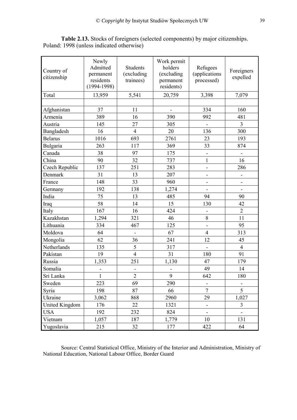| Country of<br>citizenship | Newly<br>Admitted<br>permanent<br>residents<br>$(1994 - 1998)$ | <b>Students</b><br>(excluding<br>trainees) | Work permit<br>holders<br>(excluding<br>permanent<br>residents) | Refugees<br>(applications<br>processed) | Foreigners<br>expelled       |
|---------------------------|----------------------------------------------------------------|--------------------------------------------|-----------------------------------------------------------------|-----------------------------------------|------------------------------|
| Total                     | 13,959                                                         | 5,541                                      | 20,759                                                          | 3,398                                   | 7,079                        |
|                           |                                                                |                                            |                                                                 |                                         |                              |
| Afghanistan               | 37                                                             | 11                                         | -                                                               | 334                                     | 160                          |
| Armenia                   | 389                                                            | 16                                         | 390                                                             | 992                                     | 481                          |
| Austria                   | 145                                                            | 27                                         | 305                                                             | $\blacksquare$                          | 3                            |
| Bangladesh                | 16                                                             | $\overline{4}$                             | 20                                                              | 136                                     | 300                          |
| <b>Belarus</b>            | 1016                                                           | 693                                        | 2761                                                            | 23                                      | 193                          |
| Bulgaria                  | 263                                                            | 117                                        | 369                                                             | 33                                      | 874                          |
| Canada                    | 38                                                             | 97                                         | 175                                                             |                                         |                              |
| China                     | 90                                                             | 32                                         | 737                                                             | $\mathbf{1}$                            | 16                           |
| Czech Republic            | 137                                                            | 251                                        | 283                                                             | -                                       | 286                          |
| Denmark                   | 31                                                             | 13                                         | 207                                                             | -                                       | -                            |
| France                    | 148                                                            | 33                                         | 960                                                             | $\qquad \qquad \blacksquare$            | $\qquad \qquad \blacksquare$ |
| Germany                   | 192                                                            | 138                                        | 1,274                                                           |                                         |                              |
| India                     | 75                                                             | 13                                         | 485                                                             | 94                                      | 90                           |
| Iraq                      | 58                                                             | 14                                         | 15                                                              | 130                                     | 42                           |
| Italy                     | 167                                                            | 16                                         | 424                                                             | -                                       | $\overline{2}$               |
| Kazakhstan                | 1,294                                                          | 321                                        | 46                                                              | 8                                       | 11                           |
| Lithuania                 | 334                                                            | 467                                        | 125                                                             | $\overline{\phantom{0}}$                | 95                           |
| Moldova                   | 64                                                             | $\qquad \qquad \blacksquare$               | 67                                                              | $\overline{4}$                          | 313                          |
| Mongolia                  | 62                                                             | 36                                         | 241                                                             | 12                                      | 45                           |
| Netherlands               | 135                                                            | 5                                          | 317                                                             | $\overline{\phantom{0}}$                | $\overline{4}$               |
| Pakistan                  | 19                                                             | $\overline{4}$                             | 31                                                              | 180                                     | 91                           |
| Russia                    | 1,353                                                          | 251                                        | 1,130                                                           | 47                                      | 179                          |
| Somalia                   | $\overline{\phantom{a}}$                                       |                                            | $\overline{\phantom{0}}$                                        | 49                                      | 14                           |
| Sri Lanka                 | $\mathbf{1}$                                                   | $\overline{2}$                             | 9                                                               | 642                                     | 180                          |
| Sweden                    | 223                                                            | 69                                         | 290                                                             | -                                       | -                            |
| Syria                     | 198                                                            | 87                                         | 66                                                              | $\overline{7}$                          | 5                            |
| Ukraine                   | 3,062                                                          | 868                                        | 2960                                                            | 29                                      | 1,027                        |
| United Kingdom            | 176                                                            | 22                                         | 1321                                                            | -                                       | 3                            |
| <b>USA</b>                | 192                                                            | 232                                        | 824                                                             |                                         |                              |
| Vietnam                   | 1,057                                                          | 187                                        | 1,779                                                           | 10                                      | 131                          |
| Yugoslavia                | 215                                                            | 32                                         | 177                                                             | 422                                     | 64                           |

**Table 2.13.** Stocks of foreigners (selected components) by major citizenships. Poland: 1998 (unless indicated otherwise)

Source: Central Statistical Office, Ministry of the Interior and Administration, Ministry of National Education, National Labour Office, Border Guard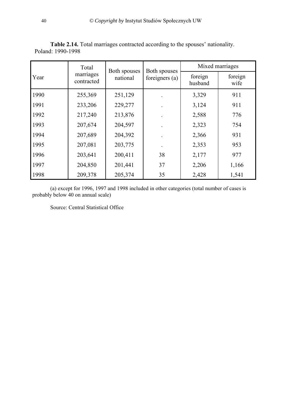Table 2.14. Total marriages contracted according to the spouses' nationality. Poland: 1990-1998

|      | Total                   | Both spouses | Both spouses     |                    | Mixed marriages |
|------|-------------------------|--------------|------------------|--------------------|-----------------|
| Year | marriages<br>contracted | national     | foreigners $(a)$ | foreign<br>husband | foreign<br>wife |
| 1990 | 255,369                 | 251,129      |                  | 3,329              | 911             |
| 1991 | 233,206                 | 229,277      |                  | 3,124              | 911             |
| 1992 | 217,240                 | 213,876      |                  | 2,588              | 776             |
| 1993 | 207,674                 | 204,597      |                  | 2,323              | 754             |
| 1994 | 207,689                 | 204,392      |                  | 2,366              | 931             |
| 1995 | 207,081                 | 203,775      |                  | 2,353              | 953             |
| 1996 | 203,641                 | 200,411      | 38               | 2,177              | 977             |
| 1997 | 204,850                 | 201,441      | 37               | 2,206              | 1,166           |
| 1998 | 209,378                 | 205,374      | 35               | 2,428              | 1,541           |

(a) except for 1996, 1997 and 1998 included in other categories (total number of cases is probably below 40 on annual scale)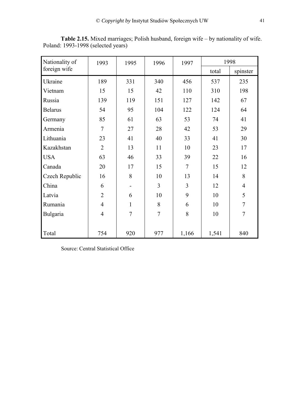| Nationality of | 1993           | 1995           | 1996           | 1997  |       | 1998           |
|----------------|----------------|----------------|----------------|-------|-------|----------------|
| foreign wife   |                |                |                |       | total | spinster       |
| Ukraine        | 189            | 331            | 340            | 456   | 537   | 235            |
| Vietnam        | 15             | 15             | 42             | 110   | 310   | 198            |
| Russia         | 139            | 119            | 151            | 127   | 142   | 67             |
| <b>Belarus</b> | 54             | 95             | 104            | 122   | 124   | 64             |
| Germany        | 85             | 61             | 63             | 53    | 74    | 41             |
| Armenia        | $\tau$         | 27             | 28             | 42    | 53    | 29             |
| Lithuania      | 23             | 41             | 40             | 33    | 41    | 30             |
| Kazakhstan     | $\overline{2}$ | 13             | 11             | 10    | 23    | 17             |
| <b>USA</b>     | 63             | 46             | 33             | 39    | 22    | 16             |
| Canada         | 20             | 17             | 15             | 7     | 15    | 12             |
| Czech Republic | 16             | 8              | 10             | 13    | 14    | 8              |
| China          | 6              |                | 3              | 3     | 12    | $\overline{4}$ |
| Latvia         | $\overline{2}$ | 6              | 10             | 9     | 10    | 5              |
| Rumania        | $\overline{4}$ | $\mathbf{1}$   | 8              | 6     | 10    | $\overline{7}$ |
| Bulgaria       | $\overline{4}$ | $\overline{7}$ | $\overline{7}$ | 8     | 10    | $\overline{7}$ |
|                |                |                |                |       |       |                |
| Total          | 754            | 920            | 977            | 1,166 | 1,541 | 840            |

**Table 2.15.** Mixed marriages; Polish husband, foreign wife – by nationality of wife. Poland: 1993-1998 (selected years)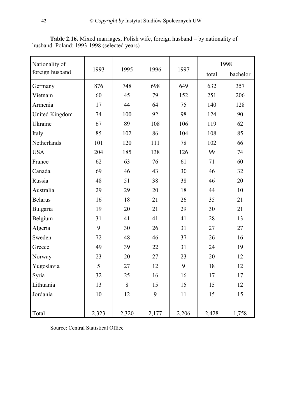| Nationality of  |       |       |       |       | 1998  |          |  |
|-----------------|-------|-------|-------|-------|-------|----------|--|
| foreign husband | 1993  | 1995  | 1996  | 1997  | total | bachelor |  |
| Germany         | 876   | 748   | 698   | 649   | 632   | 357      |  |
| Vietnam         | 60    | 45    | 79    | 152   | 251   | 206      |  |
| Armenia         | 17    | 44    | 64    | 75    | 140   | 128      |  |
| United Kingdom  | 74    | 100   | 92    | 98    | 124   | 90       |  |
| Ukraine         | 67    | 89    | 108   | 106   | 119   | 62       |  |
| Italy           | 85    | 102   | 86    | 104   | 108   | 85       |  |
| Netherlands     | 101   | 120   | 111   | 78    | 102   | 66       |  |
| <b>USA</b>      | 204   | 185   | 138   | 126   | 99    | 74       |  |
| France          | 62    | 63    | 76    | 61    | 71    | 60       |  |
| Canada          | 69    | 46    | 43    | 30    | 46    | 32       |  |
| Russia          | 48    | 51    | 38    | 38    | 46    | 20       |  |
| Australia       | 29    | 29    | 20    | 18    | 44    | 10       |  |
| <b>Belarus</b>  | 16    | 18    | 21    | 26    | 35    | 21       |  |
| Bulgaria        | 19    | 20    | 21    | 29    | 30    | 21       |  |
| Belgium         | 31    | 41    | 41    | 41    | 28    | 13       |  |
| Algeria         | 9     | 30    | 26    | 31    | 27    | 27       |  |
| Sweden          | 72    | 48    | 46    | 37    | 26    | 16       |  |
| Greece          | 49    | 39    | 22    | 31    | 24    | 19       |  |
| Norway          | 23    | 20    | 27    | 23    | 20    | 12       |  |
| Yugoslavia      | 5     | 27    | 12    | 9     | 18    | 12       |  |
| Syria           | 32    | 25    | 16    | 16    | 17    | 17       |  |
| Lithuania       | 13    | 8     | 15    | 15    | 15    | 12       |  |
| Jordania        | 10    | 12    | 9     | 11    | 15    | 15       |  |
|                 |       |       |       |       |       |          |  |
| Total           | 2,323 | 2,320 | 2,177 | 2,206 | 2,428 | 1,758    |  |

**Table 2.16.** Mixed marriages; Polish wife, foreign husband – by nationality of husband. Poland: 1993-1998 (selected years)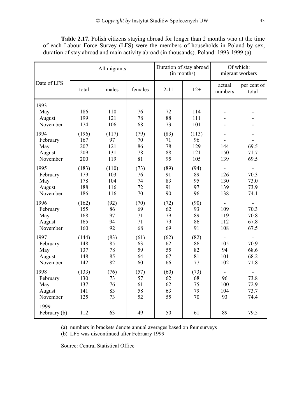| <b>Table 2.17.</b> Polish citizens staying abroad for longer than 2 months who at the time |
|--------------------------------------------------------------------------------------------|
| of each Labour Force Survey (LFS) were the members of households in Poland by sex,         |
| duration of stay abroad and main activity abroad (in thousands). Poland: 1993-1999 (a)     |

|                                               |                                   | All migrants                      |                              | Duration of stay abroad      | (in months)                      | Of which:<br>migrant workers |                              |
|-----------------------------------------------|-----------------------------------|-----------------------------------|------------------------------|------------------------------|----------------------------------|------------------------------|------------------------------|
| Date of LFS                                   | total                             | males                             | females                      | $2 - 11$                     | $12+$                            | actual<br>numbers            | per cent of<br>total         |
| 1993<br>May<br>August<br>November             | 186<br>199<br>174                 | 110<br>121<br>106                 | 76<br>78<br>68               | 72<br>88<br>73               | 114<br>111<br>101                | ۰<br>$\blacksquare$          |                              |
| 1994<br>February<br>May<br>August<br>November | (196)<br>167<br>207<br>209<br>200 | (117)<br>97<br>121<br>131<br>119  | (79)<br>70<br>86<br>78<br>81 | (83)<br>71<br>78<br>88<br>95 | (113)<br>96<br>129<br>121<br>105 | 144<br>150<br>139            | 69.5<br>71.7<br>69.5         |
| 1995<br>February<br>May<br>August<br>November | (183)<br>179<br>178<br>188<br>186 | (110)<br>103<br>104<br>116<br>116 | (73)<br>76<br>74<br>72<br>70 | (89)<br>91<br>83<br>91<br>90 | (94)<br>89<br>95<br>97<br>96     | 126<br>130<br>139<br>138     | 70.3<br>73.0<br>73.9<br>74.1 |
| 1996<br>February<br>May<br>August<br>November | (162)<br>155<br>168<br>165<br>160 | (92)<br>86<br>97<br>94<br>92      | (70)<br>69<br>71<br>71<br>68 | (72)<br>62<br>79<br>79<br>69 | (90)<br>93<br>89<br>86<br>91     | 109<br>119<br>112<br>108     | 70.3<br>70.8<br>67.8<br>67.5 |
| 1997<br>February<br>May<br>August<br>November | (144)<br>148<br>137<br>148<br>142 | (83)<br>85<br>78<br>85<br>82      | (61)<br>63<br>59<br>64<br>60 | (62)<br>62<br>55<br>67<br>66 | (82)<br>86<br>82<br>81<br>77     | 105<br>94<br>101<br>102      | 70.9<br>68.6<br>68.2<br>71.8 |
| 1998<br>February<br>May<br>August<br>November | (133)<br>130<br>137<br>141<br>125 | (76)<br>73<br>76<br>83<br>73      | (57)<br>57<br>61<br>58<br>52 | (60)<br>62<br>62<br>63<br>55 | (73)<br>68<br>75<br>79<br>70     | 96<br>100<br>104<br>93       | 73.8<br>72.9<br>73.7<br>74.4 |
| 1999<br>February (b)                          | 112                               | 63                                | 49                           | 50                           | 61                               | 89                           | 79.5                         |

(a) numbers in brackets denote annual averages based on four surveys

(b) LFS was discontinued after February 1999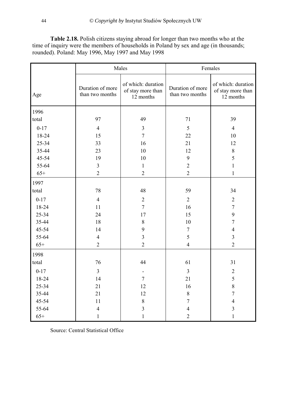**Table 2.18.** Polish citizens staying abroad for longer than two months who at the time of inquiry were the members of households in Poland by sex and age (in thousands; rounded). Poland: May 1996, May 1997 and May 1998

|          | Males                               |                                                      | Females                             |                                                      |  |  |
|----------|-------------------------------------|------------------------------------------------------|-------------------------------------|------------------------------------------------------|--|--|
| Age      | Duration of more<br>than two months | of which: duration<br>of stay more than<br>12 months | Duration of more<br>than two months | of which: duration<br>of stay more than<br>12 months |  |  |
| 1996     |                                     |                                                      |                                     |                                                      |  |  |
| total    | 97                                  | 49                                                   | 71                                  | 39                                                   |  |  |
| $0 - 17$ | $\overline{4}$                      | $\overline{\mathbf{3}}$                              | 5                                   | $\overline{4}$                                       |  |  |
| 18-24    | 15                                  | $\overline{7}$                                       | 22                                  | 10                                                   |  |  |
| 25-34    | 33                                  | 16                                                   | 21                                  | 12                                                   |  |  |
| 35-44    | 23                                  | 10                                                   | 12                                  | $\,8\,$                                              |  |  |
| 45-54    | 19                                  | 10                                                   | 9                                   | 5                                                    |  |  |
| 55-64    | $\overline{3}$                      | $\mathbf{1}$                                         | $\overline{2}$                      | $\mathbf{1}$                                         |  |  |
| $65+$    | $\overline{2}$                      | $\overline{2}$                                       | $\overline{2}$                      | $\mathbf{1}$                                         |  |  |
| 1997     |                                     |                                                      |                                     |                                                      |  |  |
| total    | 78                                  | 48                                                   | 59                                  | 34                                                   |  |  |
| $0 - 17$ | $\overline{4}$                      | $\overline{2}$                                       | $\overline{2}$                      | $\overline{2}$                                       |  |  |
| 18-24    | 11                                  | $\overline{7}$                                       | 16                                  | $\overline{7}$                                       |  |  |
| 25-34    | 24                                  | 17                                                   | 15                                  | 9                                                    |  |  |
| 35-44    | 18                                  | $8\,$                                                | $10\,$                              | $\tau$                                               |  |  |
| 45-54    | 14                                  | 9                                                    | $\tau$                              | $\overline{4}$                                       |  |  |
| 55-64    | $\overline{4}$                      | $\overline{3}$                                       | 5                                   | $\overline{3}$                                       |  |  |
| $65+$    | $\overline{2}$                      | $\overline{2}$                                       | $\overline{4}$                      | $\overline{2}$                                       |  |  |
| 1998     |                                     |                                                      |                                     |                                                      |  |  |
| total    | 76                                  | 44                                                   | 61                                  | 31                                                   |  |  |
| $0 - 17$ | $\overline{3}$                      | $\overline{\phantom{0}}$                             | $\overline{3}$                      | $\sqrt{2}$                                           |  |  |
| 18-24    | 14                                  | $\overline{7}$                                       | 21                                  | 5                                                    |  |  |
| 25-34    | 21                                  | 12                                                   | 16                                  | 8                                                    |  |  |
| 35-44    | 21                                  | 12                                                   | $8\,$                               | $\tau$                                               |  |  |
| 45-54    | 11                                  | $8\,$                                                | $\tau$                              | $\overline{4}$                                       |  |  |
| 55-64    | $\overline{4}$                      | $\overline{3}$                                       | $\overline{4}$                      | $\overline{3}$                                       |  |  |
| $65+$    | $\mathbf{1}$                        | $\mathbf{1}$                                         | $\overline{2}$                      | $\mathbf{1}$                                         |  |  |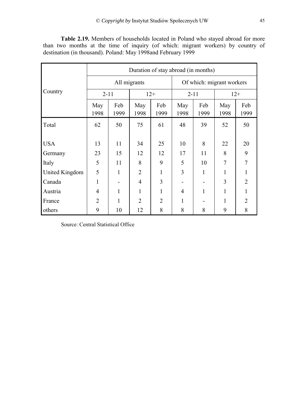**Table 2.19.** Members of households located in Poland who stayed abroad for more than two months at the time of inquiry (of which: migrant workers) by country of destination (in thousand). Poland: May 1998and February 1999

|                | Duration of stay abroad (in months) |             |                |                |                           |             |                |                |  |  |  |
|----------------|-------------------------------------|-------------|----------------|----------------|---------------------------|-------------|----------------|----------------|--|--|--|
|                | All migrants                        |             |                |                | Of which: migrant workers |             |                |                |  |  |  |
| Country        | $2 - 11$                            |             | $12+$          |                | $2 - 11$                  |             | $12+$          |                |  |  |  |
|                | May<br>1998                         | Feb<br>1999 | May<br>1998    | Feb<br>1999    | May<br>1998               | Feb<br>1999 | May<br>1998    | Feb<br>1999    |  |  |  |
| Total          | 62                                  | 50          | 75             | 61             | 48                        | 39          | 52             | 50             |  |  |  |
| <b>USA</b>     | 13                                  | 11          | 34             | 25             | 10                        | 8           | 22             | 20             |  |  |  |
| Germany        | 23                                  | 15          | 12             | 12             | 17                        | 11          | 8              | 9              |  |  |  |
| Italy          | 5                                   | 11          | 8              | 9              | 5                         | 10          | $\overline{7}$ | $\overline{7}$ |  |  |  |
| United Kingdom | 5                                   | 1           | $\overline{2}$ | 1              | 3                         | 1           |                | $\mathbf{1}$   |  |  |  |
| Canada         | 1                                   |             | $\overline{4}$ | 3              |                           |             | 3              | $\overline{2}$ |  |  |  |
| Austria        | $\overline{4}$                      | 1           | 1              |                | 4                         | 1           |                | 1              |  |  |  |
| France         | $\overline{2}$                      | 1           | $\overline{2}$ | $\overline{2}$ | 1                         |             | 1              | $\overline{2}$ |  |  |  |
| others         | 9                                   | 10          | 12             | 8              | 8                         | 8           | 9              | 8              |  |  |  |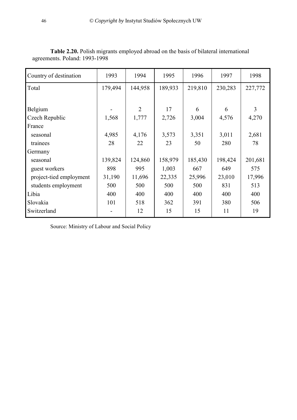| Country of destination  | 1993    | 1994           | 1995    | 1996    | 1997    | 1998    |
|-------------------------|---------|----------------|---------|---------|---------|---------|
| Total                   | 179,494 | 144,958        | 189,933 | 219,810 | 230,283 | 227,772 |
|                         |         |                |         |         |         |         |
| Belgium                 |         | $\overline{2}$ | 17      | 6       | 6       | 3       |
| Czech Republic          | 1,568   | 1,777          | 2,726   | 3,004   | 4,576   | 4,270   |
| France                  |         |                |         |         |         |         |
| seasonal                | 4,985   | 4,176          | 3,573   | 3,351   | 3,011   | 2,681   |
| trainees                | 28      | 22             | 23      | 50      | 280     | 78      |
| Germany                 |         |                |         |         |         |         |
| seasonal                | 139,824 | 124,860        | 158,979 | 185,430 | 198,424 | 201,681 |
| guest workers           | 898     | 995            | 1,003   | 667     | 649     | 575     |
| project-tied employment | 31,190  | 11,696         | 22,335  | 25,996  | 23,010  | 17,996  |
| students employment     | 500     | 500            | 500     | 500     | 831     | 513     |
| Libia                   | 400     | 400            | 400     | 400     | 400     | 400     |
| Slovakia                | 101     | 518            | 362     | 391     | 380     | 506     |
| Switzerland             |         | 12             | 15      | 15      | 11      | 19      |

**Table 2.20.** Polish migrants employed abroad on the basis of bilateral international agreements. Poland: 1993-1998

Source: Ministry of Labour and Social Policy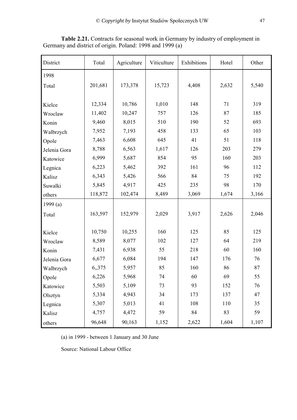| District     | Total   | Agriculture | Viticulture | Exhibitions | Hotel | Other |
|--------------|---------|-------------|-------------|-------------|-------|-------|
| 1998         |         |             |             |             |       |       |
| Total        | 201,681 | 173,378     | 15,723      | 4,408       | 2,632 | 5,540 |
|              |         |             |             |             |       |       |
| Kielce       | 12,334  | 10,786      | 1,010       | 148         | 71    | 319   |
| Wroclaw      | 11,402  | 10,247      | 757         | 126         | 87    | 185   |
| Konin        | 9,460   | 8,015       | 510         | 190         | 52    | 693   |
| Walbrzych    | 7,952   | 7,193       | 458         | 133         | 65    | 103   |
| Opole        | 7,463   | 6,608       | 645         | 41          | 51    | 118   |
| Jelenia Gora | 8,788   | 6,563       | 1,617       | 126         | 203   | 279   |
| Katowice     | 6,999   | 5,687       | 854         | 95          | 160   | 203   |
| Legnica      | 6,223   | 5,462       | 392         | 161         | 96    | 112   |
| Kalisz       | 6,343   | 5,426       | 566         | 84          | 75    | 192   |
| Suwalki      | 5,845   | 4,917       | 425         | 235         | 98    | 170   |
| others       | 118,872 | 102,474     | 8,489       | 3,069       | 1,674 | 3,166 |
| 1999(a)      |         |             |             |             |       |       |
| Total        | 163,597 | 152,979     | 2,029       | 3,917       | 2,626 | 2,046 |
|              |         |             |             |             |       |       |
| Kielce       | 10,750  | 10,255      | 160         | 125         | 85    | 125   |
| Wroclaw      | 8,589   | 8,077       | 102         | 127         | 64    | 219   |
| Konin        | 7,431   | 6,938       | 55          | 218         | 60    | 160   |
| Jelenia Gora | 6,677   | 6,084       | 194         | 147         | 176   | 76    |
| Walbrzych    | 6,,375  | 5,957       | 85          | 160         | 86    | 87    |
| Opole        | 6,226   | 5,968       | 74          | 60          | 69    | 55    |
| Katowice     | 5,503   | 5,109       | 73          | 93          | 152   | 76    |
| Olsztyn      | 5,334   | 4,943       | 34          | 173         | 137   | 47    |
| Legnica      | 5,307   | 5,013       | 41          | 108         | 110   | 35    |
| Kalisz       | 4,757   | 4,472       | 59          | 84          | 83    | 59    |
| others       | 96,648  | 90,163      | 1,152       | 2,622       | 1,604 | 1,107 |

**Table 2.21.** Contracts for seasonal work in Germany by industry of employment in Germany and district of origin. Poland: 1998 and 1999 (a)

(a) in 1999 - between 1 January and 30 June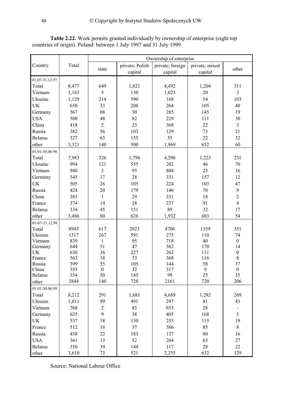|                 |            | Ownership of enterprise |                 |                  |                           |                        |  |  |
|-----------------|------------|-------------------------|-----------------|------------------|---------------------------|------------------------|--|--|
| Country         | Total      |                         | private; Polish | private; foreign |                           |                        |  |  |
|                 |            | state                   | capital         | capital          | private; mixed<br>capital | other                  |  |  |
| 01.07-31.12.97  |            |                         |                 |                  |                           |                        |  |  |
| Total           | 8,477      | 649                     | 1,821           | 4,492            | 1,204                     | 311                    |  |  |
| Vietnam         |            | 5                       | 130             | 1,025            | 20                        | $\overline{3}$         |  |  |
|                 | 1,183      |                         |                 |                  |                           |                        |  |  |
| Ukraine         | 1,129      | 214                     | 590             | 168              | 54                        | 103                    |  |  |
| UK              | 650        | 33                      | 208             | 264              | 105                       | 40                     |  |  |
| Germany         | 567        | 88                      | 30              | 285              | 145                       | 19                     |  |  |
| <b>USA</b>      | 500        | 48                      | 82              | 229              | 111                       | 30                     |  |  |
| China           | 418        | $\overline{2}$          | 23              | 368              | 22                        | $\overline{3}$         |  |  |
| Russia          | 382        | 56                      | 103             | 129              | 73                        | 21                     |  |  |
| <b>Belarus</b>  | 327        | 63                      | 155             | 55               | 22                        | 32                     |  |  |
| other           | 3,321      | 140                     | 500             | 1,969            | 652                       | 60                     |  |  |
| 01.01-30.06.98  |            |                         |                 |                  |                           |                        |  |  |
| Total           | 7,983      | 326                     | 1,796           | 4,296            | 1,223                     | 231                    |  |  |
| Ukraine         | 994        | 121                     | 555             | 202              | 46                        | 70                     |  |  |
| Vietnam         | 940        | $\overline{2}$          | 95              | 804              | 23                        | 16                     |  |  |
| Germany         | 545        | 17                      | 28              | 331              | 157                       | 12                     |  |  |
| <b>UK</b>       | 505        | 26                      | 105             | 224              | 103                       | 47                     |  |  |
| Russia          | 424        | 20                      | 179             | 146              | 70                        | $\boldsymbol{9}$       |  |  |
|                 |            |                         |                 |                  |                           | $\overline{2}$         |  |  |
| China           | 381        | $\mathbf{1}$            | 29              | 331              | 18                        |                        |  |  |
| France          | 374        | 14                      | 28              | 237              | 91                        | $\overline{4}$         |  |  |
| <b>Belarus</b>  | 334        | 45                      | 151             | 89               | 32                        | 17                     |  |  |
| other           | 3,486      | 80                      | 626             | 1,932            | 683                       | 54                     |  |  |
| 01-07-31.12.98  |            |                         |                 |                  |                           |                        |  |  |
| Total           | 8945       | 617                     | 2023            | 4706             | 1359                      | 351                    |  |  |
| Ukraine         | 1317       | 267                     | 591             | 275              | 110                       | 74                     |  |  |
| Vietnam         | 839        | $\mathbf{1}$            | 95              | 718              | 40                        | $\boldsymbol{0}$       |  |  |
| Germany         | 644        | 51                      | 47              | 362              | 170                       | 14                     |  |  |
| <b>UK</b>       | 630        | 36                      | 227             | 262              | 111                       | $\boldsymbol{0}$       |  |  |
| France          | 563        | 18                      | 53              | 368              | 116                       | $8\,$                  |  |  |
| Russia<br>China | 399<br>355 | 55<br>$\boldsymbol{0}$  | 105<br>32       | 144<br>317       | 58<br>9                   | 37<br>$\boldsymbol{0}$ |  |  |
| <b>Belarus</b>  | 354        | 50                      | 145             | 99               | 25                        | 35                     |  |  |
| other           | 3844       | 140                     | 728             | 2161             | 720                       | 206                    |  |  |
|                 |            |                         |                 |                  |                           |                        |  |  |
| 01.01-30.06.99  |            |                         |                 |                  |                           |                        |  |  |
| Total           | 8,212      | 291                     | 1,681           | 4,689            | 1,282                     | 269                    |  |  |
| Ukraine         | 1,011      | 99                      | 491             | 297              | 81                        | 43                     |  |  |
| Vietnam         | 768        | $\overline{2}$          | 85              | 653              | 28                        |                        |  |  |
| Germany         | 625        | 9                       | 38              | 405              | 168                       | 5                      |  |  |
| UK              | 537        | 18                      | 130             | 255              | 115                       | 19                     |  |  |
| France          | 512        | 16                      | 37              | 366              | 85                        | $8\,$                  |  |  |
| Russia          | 438        | 22                      | 183             | 137              | 80                        | 16                     |  |  |
| <b>USA</b>      | 361        | 13                      | 52              | 204              | 65                        | $27\,$                 |  |  |
| <b>Belarus</b>  | 350        | 39                      | 144             | 117              | 28                        | 22                     |  |  |
| other           | 3,610      | 73                      | 521             | 2,255            | 632                       | 129                    |  |  |

**Table 2.22.** Work permits granted individually by ownership of enterprise (eight top countries of origin). Poland: between 1 July 1997 and 31 July 1999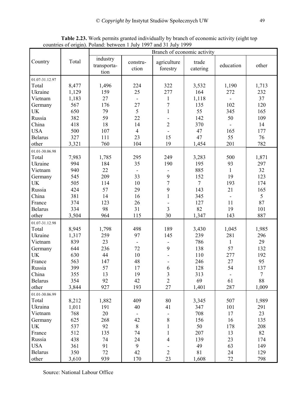|                |            | found of origin). I olding: between I stary<br>$1777$ and $51$ $0$ ary $1777$<br>Branch of economic activity |                                |                         |                   |                          |                 |  |  |
|----------------|------------|--------------------------------------------------------------------------------------------------------------|--------------------------------|-------------------------|-------------------|--------------------------|-----------------|--|--|
| Country        | Total      | industry<br>transporta-<br>tion                                                                              | constru-<br>ction              | agriculture<br>forestry | trade<br>catering | education                | other           |  |  |
| 01.07-31.12.97 |            |                                                                                                              |                                |                         |                   |                          |                 |  |  |
| Total          | 8,477      | 1,496                                                                                                        | 224                            | 322                     | 3,532             | 1,190                    | 1,713           |  |  |
| Ukraine        | 1,129      | 159                                                                                                          | 25                             | 277                     | 164               | 272                      | 232             |  |  |
| Vietnam        | 1,183      | 27                                                                                                           | $\overline{\phantom{a}}$       | 1                       | 1,118             | $\blacksquare$           | 37              |  |  |
|                | 567        | 176                                                                                                          | $27\,$                         | $\sqrt{ }$              | 135               | 102                      | 120             |  |  |
| Germany<br>UK  | 650        | 79                                                                                                           | 5                              | $\mathbf{1}$            | 55                | 345                      | 165             |  |  |
| Russia         | 382        | 59                                                                                                           | 22                             |                         | 142               | 50                       | 109             |  |  |
|                | 418        | 18                                                                                                           |                                | $\overline{2}$          |                   |                          | 14              |  |  |
| China          |            |                                                                                                              | 14                             |                         | 370               |                          |                 |  |  |
| <b>USA</b>     | 500        | 107                                                                                                          | $\overline{4}$                 |                         | 47                | 165                      | 177             |  |  |
| <b>Belarus</b> | 327        | 111                                                                                                          | 23                             | 15                      | 47                | 55                       | 76              |  |  |
| other          | 3,321      | 760                                                                                                          | 104                            | 19                      | 1,454             | 201                      | 782             |  |  |
| 01.01-30.06.98 |            |                                                                                                              |                                |                         |                   |                          |                 |  |  |
| Total          | 7,983      | 1,785                                                                                                        | 295                            | 249                     | 3,283             | 500                      | 1,871           |  |  |
| Ukraine        | 994        | 184                                                                                                          | 35                             | 190                     | 195               | 93                       | 297             |  |  |
| Vietnam        | 940        | 22                                                                                                           |                                |                         | 885               | $\mathbf{1}$             | 32              |  |  |
| Germany        | 545        | 209                                                                                                          | 33                             | 9                       | 152               | 19                       | 123             |  |  |
| <b>UK</b>      | 505        | 114                                                                                                          | 10                             | 7                       | $7\overline{ }$   | 193                      | 174             |  |  |
| Russia         | 424        | 57                                                                                                           | 29                             | 9                       | 143               | 21                       | 165             |  |  |
| China          | 381        | 14                                                                                                           | 16                             | $\mathbf{1}$            | 345               |                          | $5\overline{)}$ |  |  |
| France         | 374        | 123                                                                                                          | 26                             |                         | 127               | 11                       | 87              |  |  |
| <b>Belarus</b> | 334        | 98                                                                                                           | 31                             | $\overline{3}$          | 82                | 19                       | 101             |  |  |
| other          | 3,504      | 964                                                                                                          | 115                            | 30                      | 1,347             | 143                      | 887             |  |  |
| 01.07-31.12.98 |            |                                                                                                              |                                |                         |                   |                          |                 |  |  |
| Total          | 8,945      | 1,798                                                                                                        | 498                            | 189                     | 3,430             | 1,045                    | 1,985           |  |  |
| Ukraine        | 1,317      | 259                                                                                                          | 97                             | 145                     | 239               | 281                      | 296             |  |  |
| Vietnam        | 839        | 23                                                                                                           | $\blacksquare$                 |                         | 786               | $\mathbf{1}$             | 29              |  |  |
| Germany        | 644        | 236                                                                                                          | 72                             | 9                       | 138               | 57                       | 132             |  |  |
| <b>UK</b>      | 630        | 44                                                                                                           | 10                             |                         | 110               | 277                      | 192             |  |  |
| France         | 563        | 147                                                                                                          | 48                             |                         | 246               | 27                       | 95              |  |  |
| Russia         | 399        | 57                                                                                                           | 17                             | 6                       | 128               | 54                       | 137             |  |  |
| China          | 355        | 13                                                                                                           | 19                             | $\mathfrak{Z}$          | 313               | $\overline{\phantom{a}}$ | $\tau$          |  |  |
| <b>Belarus</b> | 354        | 92                                                                                                           | 42                             | $\overline{2}$          | 69                | 61                       | 88              |  |  |
| other          | 3,844      | 927                                                                                                          | 193                            | 27                      | 1,401             | 287                      | 1,009           |  |  |
| 01.01-30.06.99 |            |                                                                                                              |                                |                         |                   |                          |                 |  |  |
| Total          | 8,212      | 1,882                                                                                                        | 409                            | 80                      | 3,345             | 507                      | 1,989           |  |  |
| Ukraina        | 1,011      | 191                                                                                                          | 40                             | 41                      | 347               | 101                      | 291             |  |  |
|                |            |                                                                                                              |                                |                         |                   |                          | 23              |  |  |
| Vietnam        | 768<br>625 | 20<br>268                                                                                                    | $\overline{\phantom{a}}$<br>42 | $8\,$                   | 708               | 17                       | 135             |  |  |
| Germany        |            |                                                                                                              |                                |                         | 156               | 16                       |                 |  |  |
| UK             | 537        | 92                                                                                                           | $\,8\,$                        | $\mathbf{1}$            | 50                | 178                      | 208             |  |  |
| France         | 512        | 135                                                                                                          | 74                             | $\mathbf{1}$            | 207               | 13                       | 82              |  |  |
| Russia         | 438        | 74                                                                                                           | 24                             | $\overline{4}$          | 139               | 23                       | 174             |  |  |
| <b>USA</b>     | 361        | 91                                                                                                           | 9                              |                         | 49                | 63                       | 149             |  |  |
| <b>Belarus</b> | 350        | 72                                                                                                           | 42                             | $\overline{2}$          | 81                | 24                       | 129             |  |  |
| other          | 3,610      | 939                                                                                                          | 170                            | 23                      | 1,608             | 72                       | 798             |  |  |

**Table 2.23.** Work permits granted individually by branch of economic activity (eight top countries of origin). Poland: between 1 July 1997 and 31 July 1999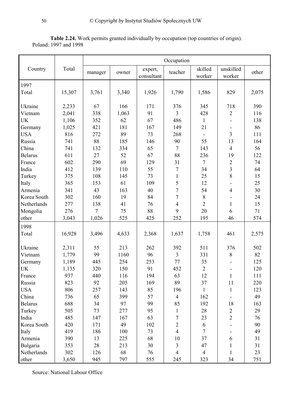|                       | <b>Table 2.24.</b> Work permits granted individually by occupation (top countries of origin). |  |  |  |  |
|-----------------------|-----------------------------------------------------------------------------------------------|--|--|--|--|
| Poland: 1997 and 1998 |                                                                                               |  |  |  |  |

|                 |        | Occupation |       |                       |                |                   |                          |       |
|-----------------|--------|------------|-------|-----------------------|----------------|-------------------|--------------------------|-------|
| Country         | Total  | manager    | owner | expert,<br>consultant | teacher        | skilled<br>worker | unskilled<br>worker      | other |
| 1997            |        |            |       |                       |                |                   |                          |       |
| Total           | 15,307 | 3,761      | 3,340 | 1,926                 | 1,790          | 1,586             | 829                      | 2,075 |
| Ukraine         | 2,233  | 67         | 166   | 171                   | 376            | 345               | 718                      | 390   |
| Vietnam         | 2,041  | 338        | 1,063 | 91                    | $\overline{3}$ | 428               | $\mathbf{2}$             | 116   |
| <b>UK</b>       | 1,106  | 352        | 62    | 67                    | 486            | $\mathbf{1}$      |                          | 138   |
| Germany         | 1,025  | 421        | 181   | 167                   | 149            | 21                |                          | 86    |
| <b>USA</b>      | 816    | 272        | 89    | 73                    | 268            |                   | $\overline{3}$           | 111   |
|                 | 741    | 88         | 185   | 146                   | 90             | 55                | 13                       | 164   |
| Russia          |        |            |       |                       | $\overline{7}$ |                   | $\overline{4}$           | 56    |
| China           | 741    | 132        | 334   | 65                    |                | 143               |                          |       |
| <b>Belarus</b>  | 611    | 27         | 52    | 67                    | 88             | 236               | 19                       | 122   |
| France          | 602    | 290        | 69    | 129                   | 31             | $\tau$            | $\overline{2}$           | 74    |
| India           | 412    | 139        | 110   | 55                    | 7              | 34                | $\overline{3}$           | 64    |
| Turkey          | 375    | 108        | 145   | 73                    | $\mathbf{1}$   | 25                | 8                        | 15    |
| Italy           | 365    | 153        | 61    | 109                   | 5              | 12                |                          | 25    |
| Armenia         | 341    | 43         | 163   | 40                    | $\overline{7}$ | 54                | $\overline{4}$           | 30    |
| Korea South     | 302    | 160        | 19    | 84                    | $\overline{7}$ | $8\,$             |                          | 24    |
| Netherlands     | 277    | 138        | 41    | 76                    | $\overline{4}$ | $\overline{2}$    | 1                        | 15    |
| Mongolia        | 276    | $\tau$     | 75    | 88                    | 9              | 20                | 6                        | 71    |
| other           | 3,043  | 1,026      | 525   | 425                   | 252            | 195               | 46                       | 574   |
| 1998            |        |            |       |                       |                |                   |                          |       |
| Total           | 16,928 | 3,496      | 4,633 | 2,368                 | 1,637          | 1,758             | 461                      | 2,575 |
| Ukraine         | 2,311  | 55         | 213   | 262                   | 392            | 511               | 376                      | 502   |
| Vietnam         | 1,779  | 99         | 1160  | 96                    | $\overline{3}$ | 331               | $\,8\,$                  | 82    |
| Germany         | 1,189  | 445        | 254   | 253                   | 77             | 35                |                          | 125   |
| <b>UK</b>       | 1,135  | 320        | 150   | 91                    | 452            | $\overline{2}$    | ÷,                       | 120   |
| France          | 937    | 440        | 116   | 194                   | 63             | 12                | 1                        | 111   |
| Russia          | 823    | 92         | 205   | 169                   | 89             | 37                | 11                       | 220   |
| <b>USA</b>      | 806    | 257        | 143   | 85                    | 196            | $\mathbf{1}$      | $\mathbf{1}$             | 123   |
| China           | 736    | 65         | 399   | 57                    | $\overline{4}$ | 162               | $\overline{\phantom{0}}$ | 49    |
| <b>Belarus</b>  | 688    | 34         | 97    | 99                    | 85             | 192               | 18                       | 163   |
| Turkey          | 505    | 73         | 277   | 95                    | $\mathbf{1}$   | 28                | $\overline{2}$           | 29    |
| India           | 485    | 147        | 167   | 63                    | 7              | 23                | $\overline{2}$           | 76    |
| Korea South     | 420    | 171        | 49    | 102                   | $\overline{2}$ | 6                 |                          | 90    |
| Italy           | 419    | 186        | 100   | 73                    | $\overline{4}$ | $\tau$            |                          | 49    |
| Armenia         | 390    | 13         | 225   | 68                    | 10             | 37                | 6                        | 31    |
| <b>Bulgaria</b> | 353    | 28         | 213   | 30                    | $\overline{3}$ | 47                | 1                        | 31    |
| Netherlands     | 302    | 126        | 68    | 76                    | $\overline{4}$ | $\overline{4}$    | 1                        | 23    |
| other           | 3,650  | 945        | 797   | 555                   | 245            | 323               | 34                       | 751   |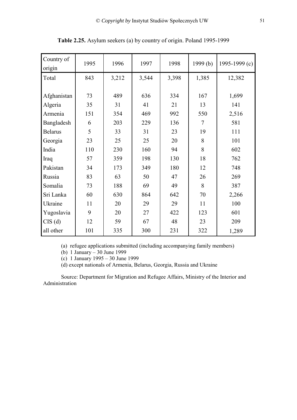| Country of<br>origin | 1995 | 1996  | 1997  | 1998  | 1999(b) | 1995-1999 $(c)$ |
|----------------------|------|-------|-------|-------|---------|-----------------|
| Total                | 843  | 3,212 | 3,544 | 3,398 | 1,385   | 12,382          |
| Afghanistan          | 73   | 489   | 636   | 334   | 167     | 1,699           |
| Algeria              | 35   | 31    | 41    | 21    | 13      | 141             |
| Armenia              | 151  | 354   | 469   | 992   | 550     | 2,516           |
| Bangladesh           | 6    | 203   | 229   | 136   | $\tau$  | 581             |
| <b>Belarus</b>       | 5    | 33    | 31    | 23    | 19      | 111             |
| Georgia              | 23   | 25    | 25    | 20    | 8       | 101             |
| India                | 110  | 230   | 160   | 94    | 8       | 602             |
| Iraq                 | 57   | 359   | 198   | 130   | 18      | 762             |
| Pakistan             | 34   | 173   | 349   | 180   | 12      | 748             |
| Russia               | 83   | 63    | 50    | 47    | 26      | 269             |
| Somalia              | 73   | 188   | 69    | 49    | 8       | 387             |
| Sri Lanka            | 60   | 630   | 864   | 642   | 70      | 2,266           |
| Ukraine              | 11   | 20    | 29    | 29    | 11      | 100             |
| Yugoslavia           | 9    | 20    | 27    | 422   | 123     | 601             |
| $CIS$ $(d)$          | 12   | 59    | 67    | 48    | 23      | 209             |
| all other            | 101  | 335   | 300   | 231   | 322     | 1,289           |

**Table 2.25.** Asylum seekers (a) by country of origin. Poland 1995-1999

(a) refugee applications submitted (including accompanying family members)

(b)  $1$  January  $-30$  June 1999

(c) 1 January 1995 – 30 June 1999

(d) except nationals of Armenia, Belarus, Georgia, Russia and Ukraine

Source: Department for Migration and Refugee Affairs, Ministry of the Interior and Administration